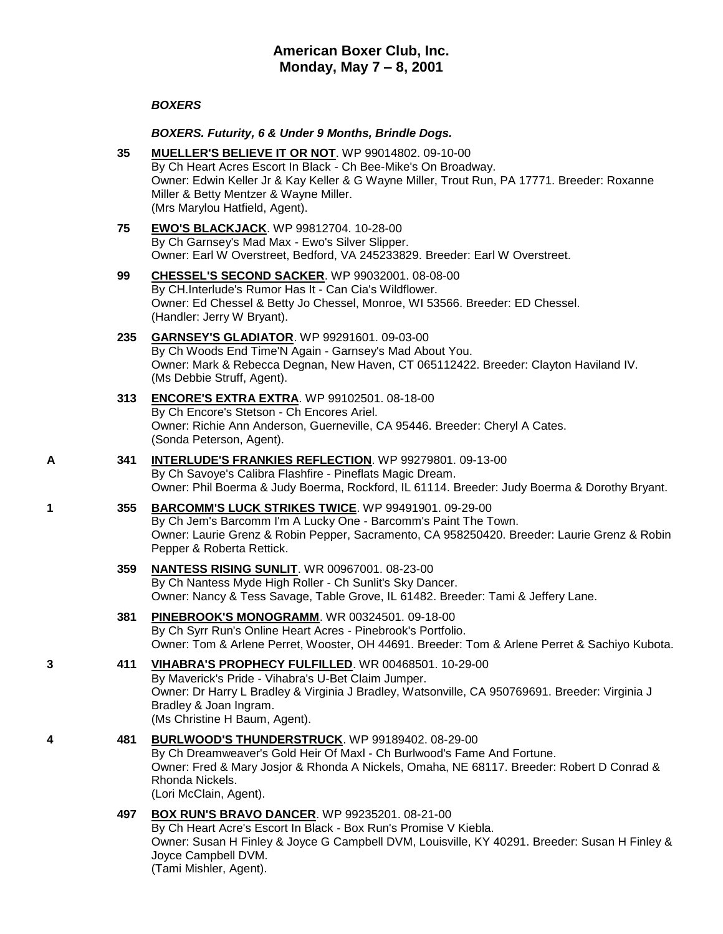# *BOXERS*

## *BOXERS. Futurity, 6 & Under 9 Months, Brindle Dogs.*

- **35 [MUELLER'S BELIEVE IT OR NOT](http://www.infodog.com/my/drlookup2.htm?makc=WP%2099014802&mdog=Mueller%27s+Believe+It+Or+Not&wins=all)**. WP 99014802. 09-10-00 By Ch Heart Acres Escort In Black - Ch Bee-Mike's On Broadway. Owner: Edwin Keller Jr & Kay Keller & G Wayne Miller, Trout Run, PA 17771. Breeder: Roxanne Miller & Betty Mentzer & Wayne Miller. (Mrs Marylou Hatfield, Agent).
- **75 [EWO'S BLACKJACK](http://www.infodog.com/my/drlookup2.htm?makc=WP%2099812704&mdog=Ewo%27s+Blackjack&wins=all)**. WP 99812704. 10-28-00 By Ch Garnsey's Mad Max - Ewo's Silver Slipper. Owner: Earl W Overstreet, Bedford, VA 245233829. Breeder: Earl W Overstreet.
- **99 [CHESSEL'S SECOND SACKER](http://www.infodog.com/my/drlookup2.htm?makc=WP%2099032001&mdog=Chessel%27s+Second+Sacker&wins=all)**. WP 99032001. 08-08-00 By CH.Interlude's Rumor Has It - Can Cia's Wildflower. Owner: Ed Chessel & Betty Jo Chessel, Monroe, WI 53566. Breeder: ED Chessel. (Handler: Jerry W Bryant).

### **235 [GARNSEY'S GLADIATOR](http://www.infodog.com/my/drlookup2.htm?makc=WP%2099291601&mdog=Garnsey%27s+Gladiator&wins=all)**. WP 99291601. 09-03-00 By Ch Woods End Time'N Again - Garnsey's Mad About You. Owner: Mark & Rebecca Degnan, New Haven, CT 065112422. Breeder: Clayton Haviland IV. (Ms Debbie Struff, Agent).

- **313 [ENCORE'S EXTRA EXTRA](http://www.infodog.com/my/drlookup2.htm?makc=WP%2099102501&mdog=Encore%27s+Extra+Extra&wins=all)**. WP 99102501. 08-18-00 By Ch Encore's Stetson - Ch Encores Ariel. Owner: Richie Ann Anderson, Guerneville, CA 95446. Breeder: Cheryl A Cates. (Sonda Peterson, Agent).
- **A 341 [INTERLUDE'S FRANKIES REFLECTION](http://www.infodog.com/my/drlookup2.htm?makc=WP%2099279801&mdog=Interlude%27s+Frankies+Reflection&wins=all)**. WP 99279801. 09-13-00 By Ch Savoye's Calibra Flashfire - Pineflats Magic Dream. Owner: Phil Boerma & Judy Boerma, Rockford, IL 61114. Breeder: Judy Boerma & Dorothy Bryant.
- **1 355 [BARCOMM'S LUCK STRIKES TWICE](http://www.infodog.com/my/drlookup2.htm?makc=WP%2099491901&mdog=Barcomm%27s+Luck+Strikes+Twice&wins=all)**. WP 99491901. 09-29-00 By Ch Jem's Barcomm I'm A Lucky One - Barcomm's Paint The Town. Owner: Laurie Grenz & Robin Pepper, Sacramento, CA 958250420. Breeder: Laurie Grenz & Robin Pepper & Roberta Rettick.
	- **359 [NANTESS RISING SUNLIT](http://www.infodog.com/my/drlookup2.htm?makc=WR%2000967001&mdog=Nantess+Rising+Sunlit&wins=all)**. WR 00967001. 08-23-00 By Ch Nantess Myde High Roller - Ch Sunlit's Sky Dancer. Owner: Nancy & Tess Savage, Table Grove, IL 61482. Breeder: Tami & Jeffery Lane.
	- **381 [PINEBROOK'S MONOGRAMM](http://www.infodog.com/my/drlookup2.htm?makc=WR%2000324501&mdog=Pinebrook%27s+Monogramm&wins=all)**. WR 00324501. 09-18-00 By Ch Syrr Run's Online Heart Acres - Pinebrook's Portfolio. Owner: Tom & Arlene Perret, Wooster, OH 44691. Breeder: Tom & Arlene Perret & Sachiyo Kubota.
- **3 411 [VIHABRA'S PROPHECY FULFILLED](http://www.infodog.com/my/drlookup2.htm?makc=WR%2000468501&mdog=Vihabra%27s+Prophecy+Fulfilled&wins=all)**. WR 00468501. 10-29-00 By Maverick's Pride - Vihabra's U-Bet Claim Jumper. Owner: Dr Harry L Bradley & Virginia J Bradley, Watsonville, CA 950769691. Breeder: Virginia J Bradley & Joan Ingram. (Ms Christine H Baum, Agent).
- **4 481 [BURLWOOD'S THUNDERSTRUCK](http://www.infodog.com/my/drlookup2.htm?makc=WP%2099189402&mdog=Burlwood%27s+Thunderstruck&wins=all)**. WP 99189402. 08-29-00 By Ch Dreamweaver's Gold Heir Of Maxl - Ch Burlwood's Fame And Fortune. Owner: Fred & Mary Josjor & Rhonda A Nickels, Omaha, NE 68117. Breeder: Robert D Conrad & Rhonda Nickels. (Lori McClain, Agent).
	- **497 [BOX RUN'S BRAVO DANCER](http://www.infodog.com/my/drlookup2.htm?makc=WP%2099235201&mdog=Box+Run%27s+Bravo+Dancer&wins=all)**. WP 99235201. 08-21-00 By Ch Heart Acre's Escort In Black - Box Run's Promise V Kiebla. Owner: Susan H Finley & Joyce G Campbell DVM, Louisville, KY 40291. Breeder: Susan H Finley & Joyce Campbell DVM. (Tami Mishler, Agent).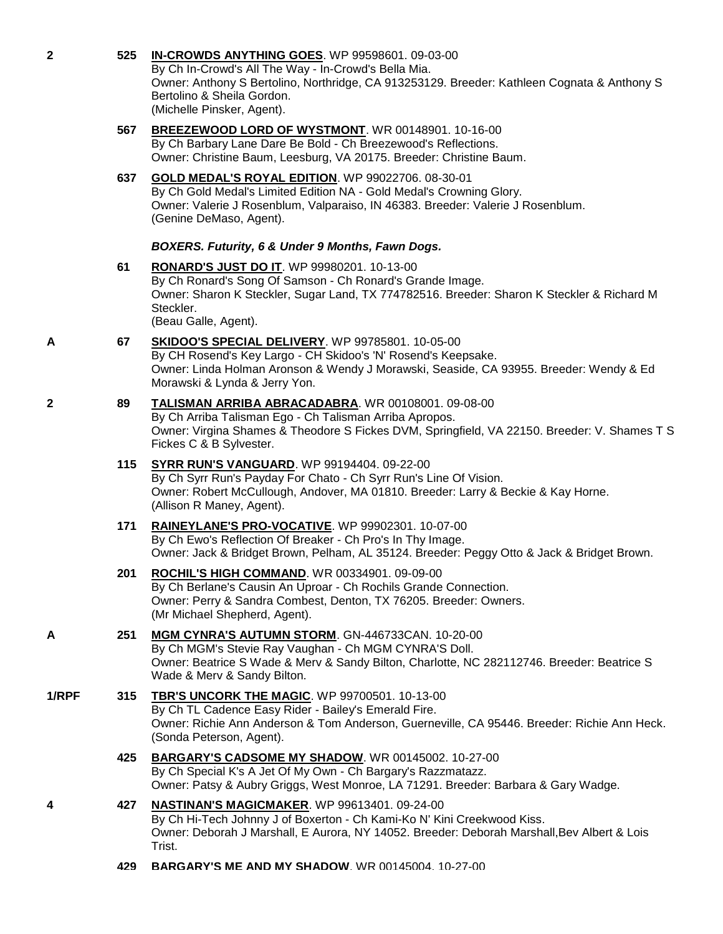| $\mathbf{2}$ | 525 | IN-CROWDS ANYTHING GOES. WP 99598601. 09-03-00<br>By Ch In-Crowd's All The Way - In-Crowd's Bella Mia.<br>Owner: Anthony S Bertolino, Northridge, CA 913253129. Breeder: Kathleen Cognata & Anthony S<br>Bertolino & Sheila Gordon.<br>(Michelle Pinsker, Agent). |
|--------------|-----|-------------------------------------------------------------------------------------------------------------------------------------------------------------------------------------------------------------------------------------------------------------------|
|              | 567 | BREEZEWOOD LORD OF WYSTMONT. WR 00148901. 10-16-00<br>By Ch Barbary Lane Dare Be Bold - Ch Breezewood's Reflections.<br>Owner: Christine Baum, Leesburg, VA 20175. Breeder: Christine Baum.                                                                       |
|              | 637 | GOLD MEDAL'S ROYAL EDITION. WP 99022706. 08-30-01<br>By Ch Gold Medal's Limited Edition NA - Gold Medal's Crowning Glory.<br>Owner: Valerie J Rosenblum, Valparaiso, IN 46383. Breeder: Valerie J Rosenblum.<br>(Genine DeMaso, Agent).                           |
|              |     | BOXERS. Futurity, 6 & Under 9 Months, Fawn Dogs.                                                                                                                                                                                                                  |
|              | 61  | RONARD'S JUST DO IT. WP 99980201. 10-13-00<br>By Ch Ronard's Song Of Samson - Ch Ronard's Grande Image.<br>Owner: Sharon K Steckler, Sugar Land, TX 774782516. Breeder: Sharon K Steckler & Richard M<br>Steckler.<br>(Beau Galle, Agent).                        |
| A            | 67  | SKIDOO'S SPECIAL DELIVERY. WP 99785801. 10-05-00<br>By CH Rosend's Key Largo - CH Skidoo's 'N' Rosend's Keepsake.<br>Owner: Linda Holman Aronson & Wendy J Morawski, Seaside, CA 93955. Breeder: Wendy & Ed<br>Morawski & Lynda & Jerry Yon.                      |
| $\mathbf{2}$ | 89  | TALISMAN ARRIBA ABRACADABRA. WR 00108001. 09-08-00<br>By Ch Arriba Talisman Ego - Ch Talisman Arriba Apropos.<br>Owner: Virgina Shames & Theodore S Fickes DVM, Springfield, VA 22150. Breeder: V. Shames T S<br>Fickes C & B Sylvester.                          |
|              | 115 | <b>SYRR RUN'S VANGUARD.</b> WP 99194404. 09-22-00<br>By Ch Syrr Run's Payday For Chato - Ch Syrr Run's Line Of Vision.<br>Owner: Robert McCullough, Andover, MA 01810. Breeder: Larry & Beckie & Kay Horne.<br>(Allison R Maney, Agent).                          |
|              | 171 | RAINEYLANE'S PRO-VOCATIVE. WP 99902301. 10-07-00<br>By Ch Ewo's Reflection Of Breaker - Ch Pro's In Thy Image.<br>Owner: Jack & Bridget Brown, Pelham, AL 35124. Breeder: Peggy Otto & Jack & Bridget Brown.                                                      |
|              | 201 | ROCHIL'S HIGH COMMAND. WR 00334901. 09-09-00<br>By Ch Berlane's Causin An Uproar - Ch Rochils Grande Connection.<br>Owner: Perry & Sandra Combest, Denton, TX 76205. Breeder: Owners.<br>(Mr Michael Shepherd, Agent).                                            |
| A            | 251 | MGM CYNRA'S AUTUMN STORM. GN-446733CAN. 10-20-00<br>By Ch MGM's Stevie Ray Vaughan - Ch MGM CYNRA'S Doll.<br>Owner: Beatrice S Wade & Merv & Sandy Bilton, Charlotte, NC 282112746. Breeder: Beatrice S<br>Wade & Merv & Sandy Bilton.                            |
| 1/RPF        | 315 | <b>TBR'S UNCORK THE MAGIC.</b> WP 99700501. 10-13-00<br>By Ch TL Cadence Easy Rider - Bailey's Emerald Fire.<br>Owner: Richie Ann Anderson & Tom Anderson, Guerneville, CA 95446. Breeder: Richie Ann Heck.<br>(Sonda Peterson, Agent).                           |
|              | 425 | BARGARY'S CADSOME MY SHADOW. WR 00145002. 10-27-00<br>By Ch Special K's A Jet Of My Own - Ch Bargary's Razzmatazz.<br>Owner: Patsy & Aubry Griggs, West Monroe, LA 71291. Breeder: Barbara & Gary Wadge.                                                          |
| 4            | 427 | NASTINAN'S MAGICMAKER. WP 99613401. 09-24-00<br>By Ch Hi-Tech Johnny J of Boxerton - Ch Kami-Ko N' Kini Creekwood Kiss.<br>Owner: Deborah J Marshall, E Aurora, NY 14052. Breeder: Deborah Marshall, Bev Albert & Lois<br>Trist.                                  |

**429 [BARGARY'S ME AND MY SHADOW](http://www.infodog.com/my/drlookup2.htm?makc=WR%2000145004&mdog=Bargary%27s+Me+And+My+Shadow&wins=all)**. WR 00145004. 10-27-00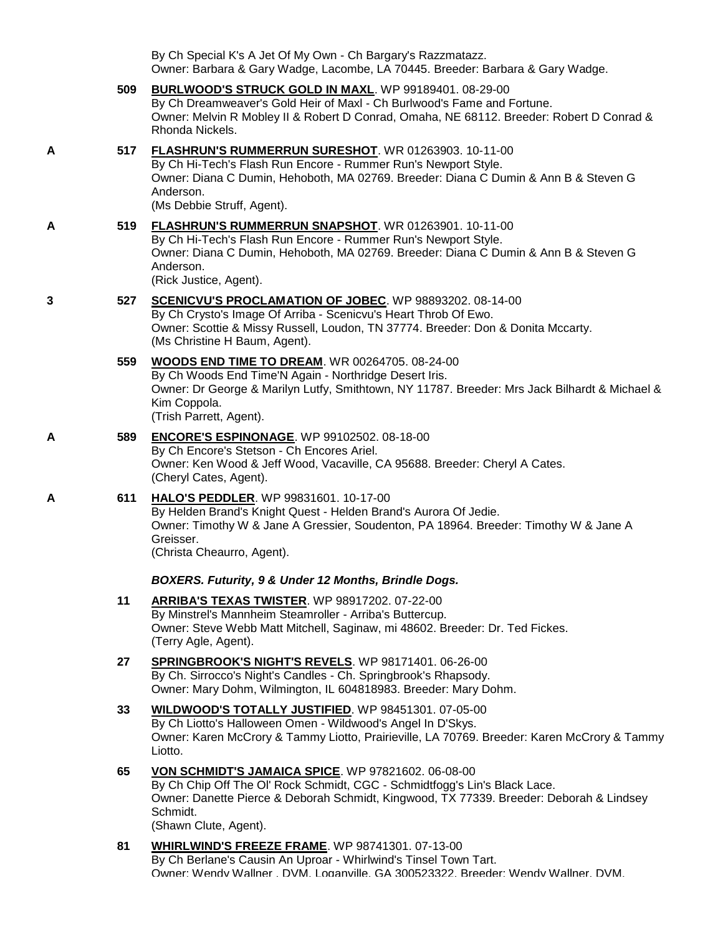By Ch Special K's A Jet Of My Own - Ch Bargary's Razzmatazz. Owner: Barbara & Gary Wadge, Lacombe, LA 70445. Breeder: Barbara & Gary Wadge.

- **509 [BURLWOOD'S STRUCK GOLD IN MAXL](http://www.infodog.com/my/drlookup2.htm?makc=WP%2099189401&mdog=Burlwood%27s+Struck+Gold+In+Maxl&wins=all)**. WP 99189401. 08-29-00 By Ch Dreamweaver's Gold Heir of Maxl - Ch Burlwood's Fame and Fortune. Owner: Melvin R Mobley II & Robert D Conrad, Omaha, NE 68112. Breeder: Robert D Conrad & Rhonda Nickels. **A 517 [FLASHRUN'S RUMMERRUN SURESHOT](http://www.infodog.com/my/drlookup2.htm?makc=WR%2001263903&mdog=Flashrun%27s+Rummerrun+Sureshot&wins=all)**. WR 01263903. 10-11-00 By Ch Hi-Tech's Flash Run Encore - Rummer Run's Newport Style. Owner: Diana C Dumin, Hehoboth, MA 02769. Breeder: Diana C Dumin & Ann B & Steven G Anderson. (Ms Debbie Struff, Agent). **A 519 [FLASHRUN'S RUMMERRUN SNAPSHOT](http://www.infodog.com/my/drlookup2.htm?makc=WR%2001263901&mdog=Flashrun%27s+Rummerrun+Snapshot&wins=all)**. WR 01263901. 10-11-00 By Ch Hi-Tech's Flash Run Encore - Rummer Run's Newport Style. Owner: Diana C Dumin, Hehoboth, MA 02769. Breeder: Diana C Dumin & Ann B & Steven G Anderson. (Rick Justice, Agent). **3 527 [SCENICVU'S PROCLAMATION OF JOBEC](http://www.infodog.com/my/drlookup2.htm?makc=WP%2098893202&mdog=Scenicvu%27s+Proclamation+Of+JoBec&wins=all)**. WP 98893202. 08-14-00 By Ch Crysto's Image Of Arriba - Scenicvu's Heart Throb Of Ewo. Owner: Scottie & Missy Russell, Loudon, TN 37774. Breeder: Don & Donita Mccarty. (Ms Christine H Baum, Agent). **559 [WOODS END TIME TO DREAM](http://www.infodog.com/my/drlookup2.htm?makc=WR%2000264705&mdog=Woods+End+Time+To+Dream&wins=all)**. WR 00264705. 08-24-00 By Ch Woods End Time'N Again - Northridge Desert Iris. Owner: Dr George & Marilyn Lutfy, Smithtown, NY 11787. Breeder: Mrs Jack Bilhardt & Michael & Kim Coppola. (Trish Parrett, Agent). **A 589 [ENCORE'S ESPINONAGE](http://www.infodog.com/my/drlookup2.htm?makc=WP%2099102502&mdog=Encore%27s+Espinonage&wins=all)**. WP 99102502. 08-18-00 By Ch Encore's Stetson - Ch Encores Ariel. Owner: Ken Wood & Jeff Wood, Vacaville, CA 95688. Breeder: Cheryl A Cates. (Cheryl Cates, Agent). **A 611 [HALO'S PEDDLER](http://www.infodog.com/my/drlookup2.htm?makc=WP%2099831601&mdog=Halo%27s+Peddler&wins=all)**. WP 99831601. 10-17-00 By Helden Brand's Knight Quest - Helden Brand's Aurora Of Jedie. Owner: Timothy W & Jane A Gressier, Soudenton, PA 18964. Breeder: Timothy W & Jane A Greisser. (Christa Cheaurro, Agent). *BOXERS. Futurity, 9 & Under 12 Months, Brindle Dogs.* **11 [ARRIBA'S TEXAS TWISTER](http://www.infodog.com/my/drlookup2.htm?makc=WP%2098917202&mdog=Arriba%27s+Texas+Twister&wins=all)**. WP 98917202. 07-22-00 By Minstrel's Mannheim Steamroller - Arriba's Buttercup. Owner: Steve Webb Matt Mitchell, Saginaw, mi 48602. Breeder: Dr. Ted Fickes. (Terry Agle, Agent). **27 [SPRINGBROOK'S NIGHT'S REVELS](http://www.infodog.com/my/drlookup2.htm?makc=WP%2098171401&mdog=Springbrook%27s+Night%27s+Revels&wins=all)**. WP 98171401. 06-26-00 By Ch. Sirrocco's Night's Candles - Ch. Springbrook's Rhapsody. Owner: Mary Dohm, Wilmington, IL 604818983. Breeder: Mary Dohm. **33 [WILDWOOD'S TOTALLY JUSTIFIED](http://www.infodog.com/my/drlookup2.htm?makc=WP%2098451301&mdog=Wildwood%27s+Totally+Justified&wins=all)**. WP 98451301. 07-05-00 By Ch Liotto's Halloween Omen - Wildwood's Angel In D'Skys. Owner: Karen McCrory & Tammy Liotto, Prairieville, LA 70769. Breeder: Karen McCrory & Tammy Liotto. **65 [VON SCHMIDT'S JAMAICA SPICE](http://www.infodog.com/my/drlookup2.htm?makc=WP%2097821602&mdog=Von+Schmidt%27s+Jamaica+Spice&wins=all)**. WP 97821602. 06-08-00 By Ch Chip Off The Ol' Rock Schmidt, CGC - Schmidtfogg's Lin's Black Lace.
	- Owner: Danette Pierce & Deborah Schmidt, Kingwood, TX 77339. Breeder: Deborah & Lindsey Schmidt.

(Shawn Clute, Agent).

**81 [WHIRLWIND'S FREEZE FRAME](http://www.infodog.com/my/drlookup2.htm?makc=WP%2098741301&mdog=Whirlwind%27s+Freeze+Frame&wins=all)**. WP 98741301. 07-13-00 By Ch Berlane's Causin An Uproar - Whirlwind's Tinsel Town Tart. Owner: Wendy Wallner , DVM, Loganville, GA 300523322. Breeder: Wendy Wallner, DVM.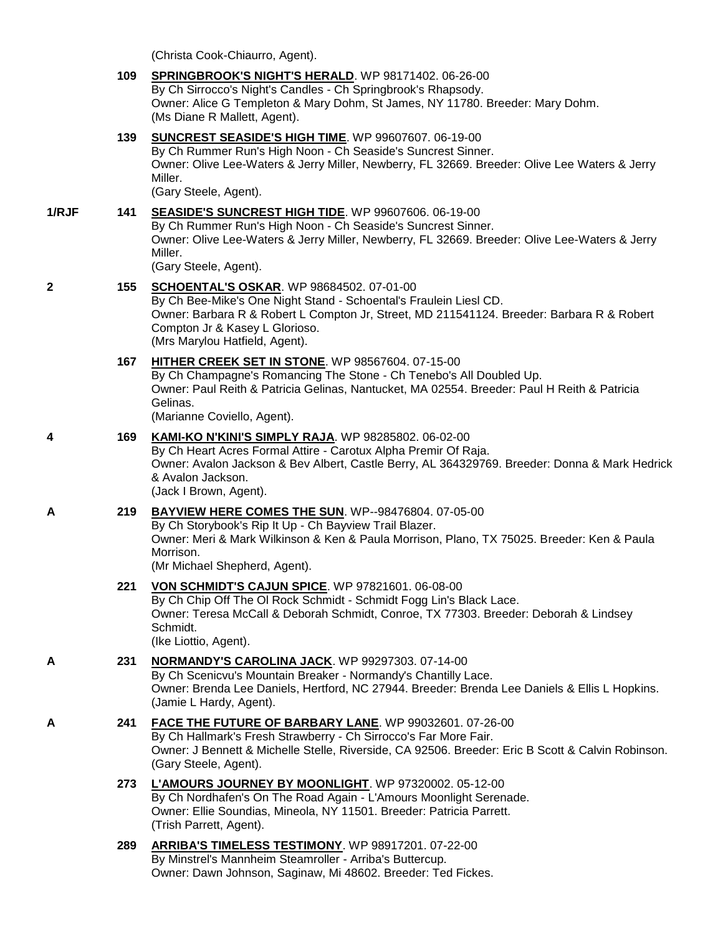(Christa Cook-Chiaurro, Agent).

|       | 109 | <b>SPRINGBROOK'S NIGHT'S HERALD.</b> WP 98171402. 06-26-00<br>By Ch Sirrocco's Night's Candles - Ch Springbrook's Rhapsody.<br>Owner: Alice G Templeton & Mary Dohm, St James, NY 11780. Breeder: Mary Dohm.<br>(Ms Diane R Mallett, Agent).                                          |
|-------|-----|---------------------------------------------------------------------------------------------------------------------------------------------------------------------------------------------------------------------------------------------------------------------------------------|
|       | 139 | <b>SUNCREST SEASIDE'S HIGH TIME. WP 99607607. 06-19-00</b><br>By Ch Rummer Run's High Noon - Ch Seaside's Suncrest Sinner.<br>Owner: Olive Lee-Waters & Jerry Miller, Newberry, FL 32669. Breeder: Olive Lee Waters & Jerry<br>Miller.<br>(Gary Steele, Agent).                       |
| 1/RJF | 141 | <b>SEASIDE'S SUNCREST HIGH TIDE. WP 99607606. 06-19-00</b><br>By Ch Rummer Run's High Noon - Ch Seaside's Suncrest Sinner.<br>Owner: Olive Lee-Waters & Jerry Miller, Newberry, FL 32669. Breeder: Olive Lee-Waters & Jerry<br>Miller.<br>(Gary Steele, Agent).                       |
| 2     | 155 | <b>SCHOENTAL'S OSKAR.</b> WP 98684502. 07-01-00<br>By Ch Bee-Mike's One Night Stand - Schoental's Fraulein Liesl CD.<br>Owner: Barbara R & Robert L Compton Jr, Street, MD 211541124. Breeder: Barbara R & Robert<br>Compton Jr & Kasey L Glorioso.<br>(Mrs Marylou Hatfield, Agent). |
|       | 167 | HITHER CREEK SET IN STONE. WP 98567604. 07-15-00<br>By Ch Champagne's Romancing The Stone - Ch Tenebo's All Doubled Up.<br>Owner: Paul Reith & Patricia Gelinas, Nantucket, MA 02554. Breeder: Paul H Reith & Patricia<br>Gelinas.<br>(Marianne Coviello, Agent).                     |
| 4     | 169 | KAMI-KO N'KINI'S SIMPLY RAJA. WP 98285802. 06-02-00<br>By Ch Heart Acres Formal Attire - Carotux Alpha Premir Of Raja.<br>Owner: Avalon Jackson & Bev Albert, Castle Berry, AL 364329769. Breeder: Donna & Mark Hedrick<br>& Avalon Jackson.<br>(Jack I Brown, Agent).                |
| А     | 219 | BAYVIEW HERE COMES THE SUN. WP--98476804. 07-05-00<br>By Ch Storybook's Rip It Up - Ch Bayview Trail Blazer.<br>Owner: Meri & Mark Wilkinson & Ken & Paula Morrison, Plano, TX 75025. Breeder: Ken & Paula<br>Morrison.<br>(Mr Michael Shepherd, Agent).                              |
|       | 221 | VON SCHMIDT'S CAJUN SPICE. WP 97821601. 06-08-00<br>By Ch Chip Off The OI Rock Schmidt - Schmidt Fogg Lin's Black Lace.<br>Owner: Teresa McCall & Deborah Schmidt, Conroe, TX 77303. Breeder: Deborah & Lindsey<br>Schmidt.<br>(Ike Liottio, Agent).                                  |
| A     | 231 | NORMANDY'S CAROLINA JACK. WP 99297303. 07-14-00<br>By Ch Scenicvu's Mountain Breaker - Normandy's Chantilly Lace.<br>Owner: Brenda Lee Daniels, Hertford, NC 27944. Breeder: Brenda Lee Daniels & Ellis L Hopkins.<br>(Jamie L Hardy, Agent).                                         |
| А     | 241 | FACE THE FUTURE OF BARBARY LANE. WP 99032601. 07-26-00<br>By Ch Hallmark's Fresh Strawberry - Ch Sirrocco's Far More Fair.<br>Owner: J Bennett & Michelle Stelle, Riverside, CA 92506. Breeder: Eric B Scott & Calvin Robinson.<br>(Gary Steele, Agent).                              |
|       | 273 | L'AMOURS JOURNEY BY MOONLIGHT. WP 97320002. 05-12-00<br>By Ch Nordhafen's On The Road Again - L'Amours Moonlight Serenade.<br>Owner: Ellie Soundias, Mineola, NY 11501. Breeder: Patricia Parrett.<br>(Trish Parrett, Agent).                                                         |
|       | 289 | ARRIBA'S TIMELESS TESTIMONY. WP 98917201. 07-22-00<br>By Minstrel's Mannheim Steamroller - Arriba's Buttercup.<br>Owner: Dawn Johnson, Saginaw, Mi 48602. Breeder: Ted Fickes.                                                                                                        |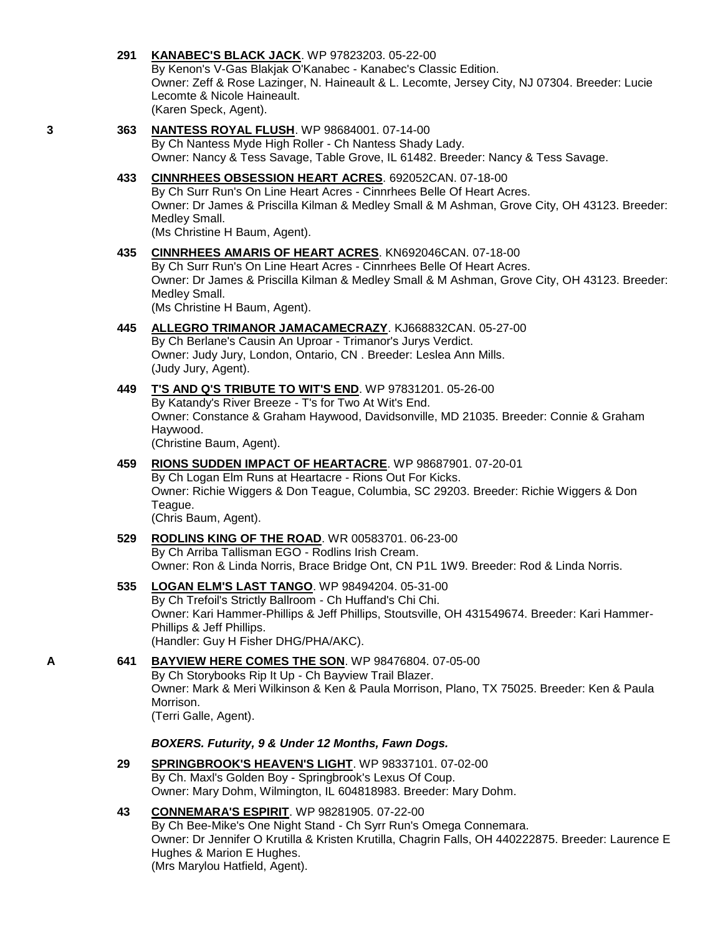# **291 [KANABEC'S BLACK JACK](http://www.infodog.com/my/drlookup2.htm?makc=WP%2097823203&mdog=Kanabec%27s+Black+Jack&wins=all)**. WP 97823203. 05-22-00 By Kenon's V-Gas Blakjak O'Kanabec - Kanabec's Classic Edition. Owner: Zeff & Rose Lazinger, N. Haineault & L. Lecomte, Jersey City, NJ 07304. Breeder: Lucie Lecomte & Nicole Haineault. (Karen Speck, Agent). **3 363 [NANTESS ROYAL FLUSH](http://www.infodog.com/my/drlookup2.htm?makc=WP%2098684001&mdog=Nantess+Royal+Flush&wins=all)**. WP 98684001. 07-14-00 By Ch Nantess Myde High Roller - Ch Nantess Shady Lady. Owner: Nancy & Tess Savage, Table Grove, IL 61482. Breeder: Nancy & Tess Savage. **433 [CINNRHEES OBSESSION HEART ACRES](http://www.infodog.com/my/drlookup2.htm?makc=692052CAN&mdog=Cinnrhees+Obsession+Heart+Acres&wins=all)**. 692052CAN. 07-18-00 By Ch Surr Run's On Line Heart Acres - Cinnrhees Belle Of Heart Acres. Owner: Dr James & Priscilla Kilman & Medley Small & M Ashman, Grove City, OH 43123. Breeder: Medley Small. (Ms Christine H Baum, Agent). **435 [CINNRHEES AMARIS OF HEART ACRES](http://www.infodog.com/my/drlookup2.htm?makc=KN692046CAN&mdog=Cinnrhees+Amaris+Of+Heart+Acres&wins=all)**. KN692046CAN. 07-18-00 By Ch Surr Run's On Line Heart Acres - Cinnrhees Belle Of Heart Acres. Owner: Dr James & Priscilla Kilman & Medley Small & M Ashman, Grove City, OH 43123. Breeder: Medley Small. (Ms Christine H Baum, Agent). **445 [ALLEGRO TRIMANOR JAMACAMECRAZY](http://www.infodog.com/my/drlookup2.htm?makc=KJ668832CAN&mdog=Allegro+Trimanor+Jamacamecrazy&wins=all)**. KJ668832CAN. 05-27-00 By Ch Berlane's Causin An Uproar - Trimanor's Jurys Verdict. Owner: Judy Jury, London, Ontario, CN . Breeder: Leslea Ann Mills. (Judy Jury, Agent). **449 [T'S AND Q'S TRIBUTE TO WIT'S END](http://www.infodog.com/my/drlookup2.htm?makc=WP%2097831201&mdog=T%27s+And+Q%27s+Tribute+To+Wit%27s+End&wins=all)**. WP 97831201. 05-26-00 By Katandy's River Breeze - T's for Two At Wit's End. Owner: Constance & Graham Haywood, Davidsonville, MD 21035. Breeder: Connie & Graham Haywood. (Christine Baum, Agent). **459 [RIONS SUDDEN IMPACT OF HEARTACRE](http://www.infodog.com/my/drlookup2.htm?makc=WP%2098687901&mdog=Rions+Sudden+Impact+of+Heartacre&wins=all)**. WP 98687901. 07-20-01 By Ch Logan Elm Runs at Heartacre - Rions Out For Kicks. Owner: Richie Wiggers & Don Teague, Columbia, SC 29203. Breeder: Richie Wiggers & Don Teague. (Chris Baum, Agent). **529 [RODLINS KING OF THE ROAD](http://www.infodog.com/my/drlookup2.htm?makc=WR%2000583701&mdog=Rodlins+King+Of+The+Road&wins=all)**. WR 00583701. 06-23-00 By Ch Arriba Tallisman EGO - Rodlins Irish Cream.

### **535 [LOGAN ELM'S LAST TANGO](http://www.infodog.com/my/drlookup2.htm?makc=WP%2098494204&mdog=Logan+Elm%27s+Last+Tango&wins=all)**. WP 98494204. 05-31-00 By Ch Trefoil's Strictly Ballroom - Ch Huffand's Chi Chi. Owner: Kari Hammer-Phillips & Jeff Phillips, Stoutsville, OH 431549674. Breeder: Kari Hammer-Phillips & Jeff Phillips. (Handler: Guy H Fisher DHG/PHA/AKC).

Owner: Ron & Linda Norris, Brace Bridge Ont, CN P1L 1W9. Breeder: Rod & Linda Norris.

#### **A 641 [BAYVIEW HERE COMES THE SON](http://www.infodog.com/my/drlookup2.htm?makc=WP%2098476804&mdog=Bayview+Here+Comes+The+Son&wins=all)**. WP 98476804. 07-05-00 By Ch Storybooks Rip It Up - Ch Bayview Trail Blazer. Owner: Mark & Meri Wilkinson & Ken & Paula Morrison, Plano, TX 75025. Breeder: Ken & Paula Morrison. (Terri Galle, Agent).

#### *BOXERS. Futurity, 9 & Under 12 Months, Fawn Dogs.*

**29 [SPRINGBROOK'S HEAVEN'S LIGHT](http://www.infodog.com/my/drlookup2.htm?makc=WP%2098337101&mdog=Springbrook%27s+Heaven%27s+Light&wins=all)**. WP 98337101. 07-02-00 By Ch. Maxl's Golden Boy - Springbrook's Lexus Of Coup. Owner: Mary Dohm, Wilmington, IL 604818983. Breeder: Mary Dohm.

#### **43 [CONNEMARA'S ESPIRIT](http://www.infodog.com/my/drlookup2.htm?makc=WP%2098281905&mdog=Connemara%27s+Espirit&wins=all)**. WP 98281905. 07-22-00 By Ch Bee-Mike's One Night Stand - Ch Syrr Run's Omega Connemara. Owner: Dr Jennifer O Krutilla & Kristen Krutilla, Chagrin Falls, OH 440222875. Breeder: Laurence E Hughes & Marion E Hughes. (Mrs Marylou Hatfield, Agent).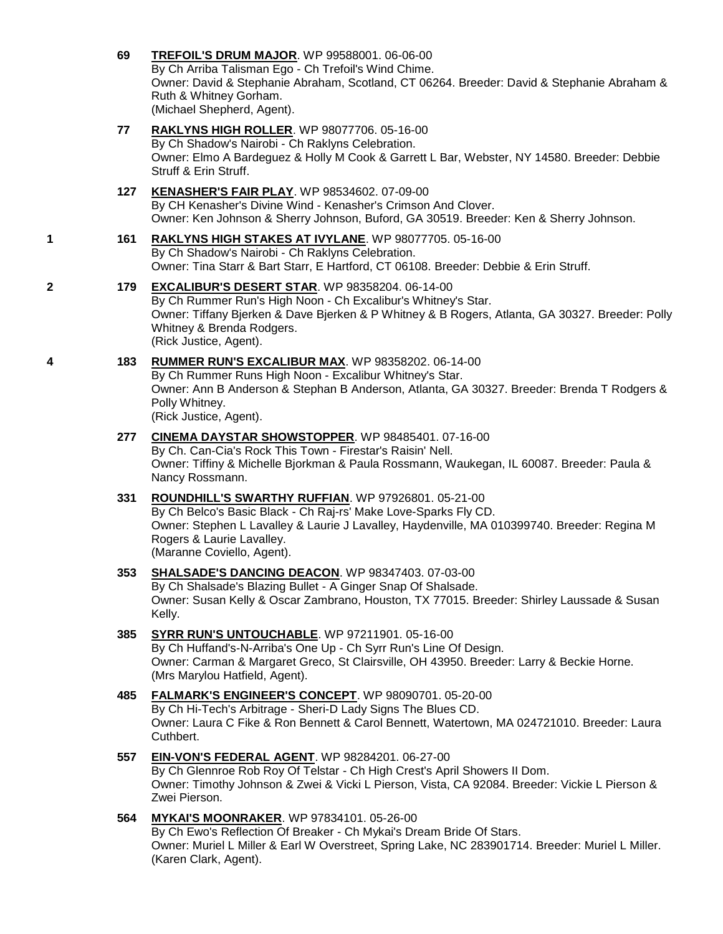- **69 [TREFOIL'S DRUM MAJOR](http://www.infodog.com/my/drlookup2.htm?makc=WP%2099588001&mdog=Trefoil%27s+Drum+Major&wins=all)**. WP 99588001. 06-06-00 By Ch Arriba Talisman Ego - Ch Trefoil's Wind Chime. Owner: David & Stephanie Abraham, Scotland, CT 06264. Breeder: David & Stephanie Abraham & Ruth & Whitney Gorham. (Michael Shepherd, Agent). **77 [RAKLYNS HIGH ROLLER](http://www.infodog.com/my/drlookup2.htm?makc=WP%2098077706&mdog=Raklyns+High+Roller&wins=all)**. WP 98077706. 05-16-00 By Ch Shadow's Nairobi - Ch Raklyns Celebration. Owner: Elmo A Bardeguez & Holly M Cook & Garrett L Bar, Webster, NY 14580. Breeder: Debbie Struff & Erin Struff. **127 [KENASHER'S FAIR PLAY](http://www.infodog.com/my/drlookup2.htm?makc=WP%2098534602&mdog=Kenasher%27s+Fair+Play&wins=all)**. WP 98534602. 07-09-00 By CH Kenasher's Divine Wind - Kenasher's Crimson And Clover. Owner: Ken Johnson & Sherry Johnson, Buford, GA 30519. Breeder: Ken & Sherry Johnson.
- **1 161 [RAKLYNS HIGH STAKES AT IVYLANE](http://www.infodog.com/my/drlookup2.htm?makc=WP%2098077705&mdog=Raklyns+High+Stakes+At+Ivylane&wins=all)**. WP 98077705. 05-16-00 By Ch Shadow's Nairobi - Ch Raklyns Celebration. Owner: Tina Starr & Bart Starr, E Hartford, CT 06108. Breeder: Debbie & Erin Struff.

#### **2 179 [EXCALIBUR'S DESERT STAR](http://www.infodog.com/my/drlookup2.htm?makc=WP%2098358204&mdog=Excalibur%27s+Desert+Star&wins=all)**. WP 98358204. 06-14-00

By Ch Rummer Run's High Noon - Ch Excalibur's Whitney's Star. Owner: Tiffany Bjerken & Dave Bjerken & P Whitney & B Rogers, Atlanta, GA 30327. Breeder: Polly Whitney & Brenda Rodgers. (Rick Justice, Agent).

**4 183 [RUMMER RUN'S EXCALIBUR MAX](http://www.infodog.com/my/drlookup2.htm?makc=WP%2098358202&mdog=Rummer+Run%27s+Excalibur+Max&wins=all)**. WP 98358202. 06-14-00

By Ch Rummer Runs High Noon - Excalibur Whitney's Star. Owner: Ann B Anderson & Stephan B Anderson, Atlanta, GA 30327. Breeder: Brenda T Rodgers & Polly Whitney. (Rick Justice, Agent).

**277 [CINEMA DAYSTAR SHOWSTOPPER](http://www.infodog.com/my/drlookup2.htm?makc=WP%2098485401&mdog=Cinema+DayStar+ShowStopper&wins=all)**. WP 98485401. 07-16-00 By Ch. Can-Cia's Rock This Town - Firestar's Raisin' Nell. Owner: Tiffiny & Michelle Bjorkman & Paula Rossmann, Waukegan, IL 60087. Breeder: Paula & Nancy Rossmann.

- **331 [ROUNDHILL'S SWARTHY RUFFIAN](http://www.infodog.com/my/drlookup2.htm?makc=WP%2097926801&mdog=Roundhill%27s+Swarthy+Ruffian&wins=all)**. WP 97926801. 05-21-00 By Ch Belco's Basic Black - Ch Raj-rs' Make Love-Sparks Fly CD. Owner: Stephen L Lavalley & Laurie J Lavalley, Haydenville, MA 010399740. Breeder: Regina M Rogers & Laurie Lavalley. (Maranne Coviello, Agent).
- **353 [SHALSADE'S DANCING DEACON](http://www.infodog.com/my/drlookup2.htm?makc=WP%2098347403&mdog=Shalsade%27s+Dancing+Deacon&wins=all)**. WP 98347403. 07-03-00 By Ch Shalsade's Blazing Bullet - A Ginger Snap Of Shalsade. Owner: Susan Kelly & Oscar Zambrano, Houston, TX 77015. Breeder: Shirley Laussade & Susan Kelly.
- **385 [SYRR RUN'S UNTOUCHABLE](http://www.infodog.com/my/drlookup2.htm?makc=WP%2097211901&mdog=Syrr+Run%27s+Untouchable&wins=all)**. WP 97211901. 05-16-00 By Ch Huffand's-N-Arriba's One Up - Ch Syrr Run's Line Of Design. Owner: Carman & Margaret Greco, St Clairsville, OH 43950. Breeder: Larry & Beckie Horne. (Mrs Marylou Hatfield, Agent).
- **485 [FALMARK'S ENGINEER'S CONCEPT](http://www.infodog.com/my/drlookup2.htm?makc=WP%2098090701&mdog=Falmark%27s+Engineer%27s+Concept&wins=all)**. WP 98090701. 05-20-00 By Ch Hi-Tech's Arbitrage - Sheri-D Lady Signs The Blues CD. Owner: Laura C Fike & Ron Bennett & Carol Bennett, Watertown, MA 024721010. Breeder: Laura Cuthbert.
- **557 [EIN-VON'S FEDERAL AGENT](http://www.infodog.com/my/drlookup2.htm?makc=WP%2098284201&mdog=Ein-Von%27s+Federal+Agent&wins=all)**. WP 98284201. 06-27-00 By Ch Glennroe Rob Roy Of Telstar - Ch High Crest's April Showers II Dom. Owner: Timothy Johnson & Zwei & Vicki L Pierson, Vista, CA 92084. Breeder: Vickie L Pierson & Zwei Pierson.

#### **564 [MYKAI'S MOONRAKER](http://www.infodog.com/my/drlookup2.htm?makc=WP%2097834101&mdog=MyKai%27s+Moonraker&wins=all)**. WP 97834101. 05-26-00 By Ch Ewo's Reflection Of Breaker - Ch Mykai's Dream Bride Of Stars. Owner: Muriel L Miller & Earl W Overstreet, Spring Lake, NC 283901714. Breeder: Muriel L Miller. (Karen Clark, Agent).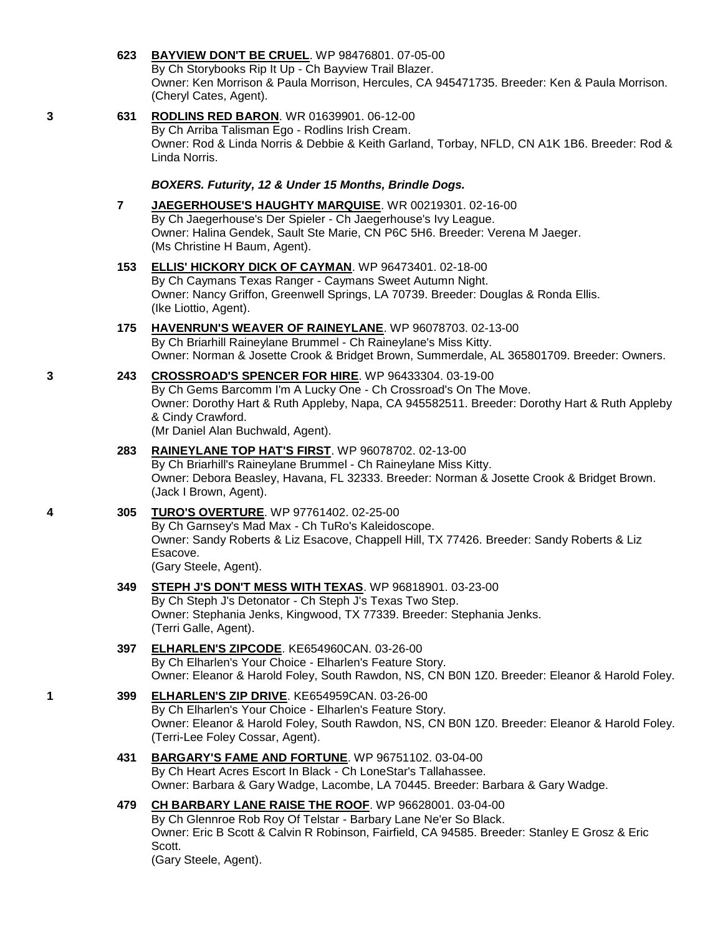|   |                | By Ch Storybooks Rip It Up - Ch Bayview Trail Blazer.<br>Owner: Ken Morrison & Paula Morrison, Hercules, CA 945471735. Breeder: Ken & Paula Morrison.<br>(Cheryl Cates, Agent).                                                                                                   |
|---|----------------|-----------------------------------------------------------------------------------------------------------------------------------------------------------------------------------------------------------------------------------------------------------------------------------|
| 3 | 631            | <b>RODLINS RED BARON.</b> WR 01639901. 06-12-00<br>By Ch Arriba Talisman Ego - Rodlins Irish Cream.<br>Owner: Rod & Linda Norris & Debbie & Keith Garland, Torbay, NFLD, CN A1K 1B6. Breeder: Rod &<br>Linda Norris.                                                              |
|   |                | BOXERS. Futurity, 12 & Under 15 Months, Brindle Dogs.                                                                                                                                                                                                                             |
|   | $\overline{7}$ | JAEGERHOUSE'S HAUGHTY MARQUISE. WR 00219301. 02-16-00<br>By Ch Jaegerhouse's Der Spieler - Ch Jaegerhouse's Ivy League.<br>Owner: Halina Gendek, Sault Ste Marie, CN P6C 5H6. Breeder: Verena M Jaeger.<br>(Ms Christine H Baum, Agent).                                          |
|   | 153            | <b>ELLIS' HICKORY DICK OF CAYMAN. WP 96473401. 02-18-00</b><br>By Ch Caymans Texas Ranger - Caymans Sweet Autumn Night.<br>Owner: Nancy Griffon, Greenwell Springs, LA 70739. Breeder: Douglas & Ronda Ellis.<br>(Ike Liottio, Agent).                                            |
|   | 175            | <b>HAVENRUN'S WEAVER OF RAINEYLANE.</b> WP 96078703. 02-13-00<br>By Ch Briarhill Raineylane Brummel - Ch Raineylane's Miss Kitty.<br>Owner: Norman & Josette Crook & Bridget Brown, Summerdale, AL 365801709. Breeder: Owners.                                                    |
| 3 | 243            | CROSSROAD'S SPENCER FOR HIRE. WP 96433304. 03-19-00<br>By Ch Gems Barcomm I'm A Lucky One - Ch Crossroad's On The Move.<br>Owner: Dorothy Hart & Ruth Appleby, Napa, CA 945582511. Breeder: Dorothy Hart & Ruth Appleby<br>& Cindy Crawford.<br>(Mr Daniel Alan Buchwald, Agent). |
|   | 283            | RAINEYLANE TOP HAT'S FIRST. WP 96078702. 02-13-00<br>By Ch Briarhill's Raineylane Brummel - Ch Raineylane Miss Kitty.<br>Owner: Debora Beasley, Havana, FL 32333. Breeder: Norman & Josette Crook & Bridget Brown.<br>(Jack I Brown, Agent).                                      |
| 4 | 305            | <b>TURO'S OVERTURE. WP 97761402. 02-25-00</b><br>By Ch Garnsey's Mad Max - Ch TuRo's Kaleidoscope.<br>Owner: Sandy Roberts & Liz Esacove, Chappell Hill, TX 77426. Breeder: Sandy Roberts & Liz<br>Esacove.<br>(Gary Steele, Agent).                                              |
|   | 349            | <b>STEPH J'S DON'T MESS WITH TEXAS. WP 96818901. 03-23-00</b><br>By Ch Steph J's Detonator - Ch Steph J's Texas Two Step.<br>Owner: Stephania Jenks, Kingwood, TX 77339. Breeder: Stephania Jenks.<br>(Terri Galle, Agent).                                                       |
|   | 397            | ELHARLEN'S ZIPCODE. KE654960CAN. 03-26-00<br>By Ch Elharlen's Your Choice - Elharlen's Feature Story.<br>Owner: Eleanor & Harold Foley, South Rawdon, NS, CN B0N 1Z0. Breeder: Eleanor & Harold Foley.                                                                            |
| 1 | 399            | ELHARLEN'S ZIP DRIVE. KE654959CAN. 03-26-00<br>By Ch Elharlen's Your Choice - Elharlen's Feature Story.<br>Owner: Eleanor & Harold Foley, South Rawdon, NS, CN B0N 1Z0. Breeder: Eleanor & Harold Foley.<br>(Terri-Lee Foley Cossar, Agent).                                      |
|   | 431            | <b>BARGARY'S FAME AND FORTUNE.</b> WP 96751102. 03-04-00<br>By Ch Heart Acres Escort In Black - Ch LoneStar's Tallahassee.<br>Owner: Barbara & Gary Wadge, Lacombe, LA 70445. Breeder: Barbara & Gary Wadge.                                                                      |
|   | 479            | CH BARBARY LANE RAISE THE ROOF. WP 96628001. 03-04-00<br>By Ch Glennroe Rob Roy Of Telstar - Barbary Lane Ne'er So Black.<br>Owner: Eric B Scott & Calvin R Robinson, Fairfield, CA 94585. Breeder: Stanley E Grosz & Eric<br>Scott.<br>(Gary Steele, Agent).                     |
|   |                |                                                                                                                                                                                                                                                                                   |

**623 [BAYVIEW DON'T BE CRUEL](http://www.infodog.com/my/drlookup2.htm?makc=WP%2098476801&mdog=Bayview+Don%27t+Be+Cruel&wins=all)**. WP 98476801. 07-05-00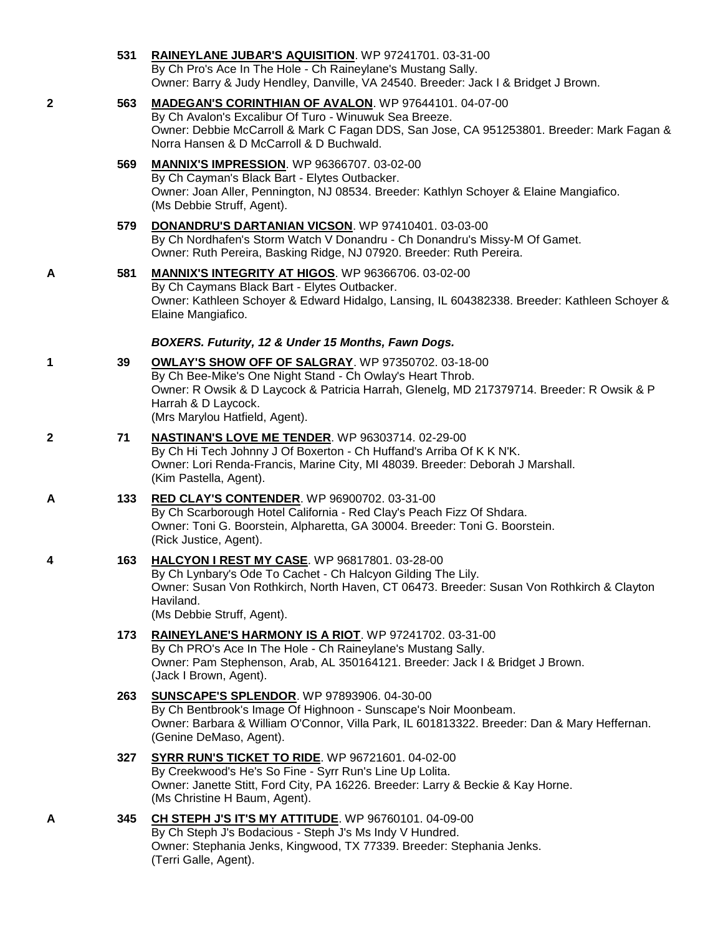|   | 531 | RAINEYLANE JUBAR'S AQUISITION. WP 97241701. 03-31-00<br>By Ch Pro's Ace In The Hole - Ch Raineylane's Mustang Sally.<br>Owner: Barry & Judy Hendley, Danville, VA 24540. Breeder: Jack I & Bridget J Brown.                                                            |
|---|-----|------------------------------------------------------------------------------------------------------------------------------------------------------------------------------------------------------------------------------------------------------------------------|
| 2 | 563 | <b>MADEGAN'S CORINTHIAN OF AVALON. WP 97644101. 04-07-00</b><br>By Ch Avalon's Excalibur Of Turo - Winuwuk Sea Breeze.<br>Owner: Debbie McCarroll & Mark C Fagan DDS, San Jose, CA 951253801. Breeder: Mark Fagan &<br>Norra Hansen & D McCarroll & D Buchwald.        |
|   | 569 | <b>MANNIX'S IMPRESSION.</b> WP 96366707. 03-02-00<br>By Ch Cayman's Black Bart - Elytes Outbacker.<br>Owner: Joan Aller, Pennington, NJ 08534. Breeder: Kathlyn Schoyer & Elaine Mangiafico.<br>(Ms Debbie Struff, Agent).                                             |
|   | 579 | DONANDRU'S DARTANIAN VICSON. WP 97410401. 03-03-00<br>By Ch Nordhafen's Storm Watch V Donandru - Ch Donandru's Missy-M Of Gamet.<br>Owner: Ruth Pereira, Basking Ridge, NJ 07920. Breeder: Ruth Pereira.                                                               |
| A | 581 | <b>MANNIX'S INTEGRITY AT HIGOS.</b> WP 96366706. 03-02-00<br>By Ch Caymans Black Bart - Elytes Outbacker.<br>Owner: Kathleen Schoyer & Edward Hidalgo, Lansing, IL 604382338. Breeder: Kathleen Schoyer &<br>Elaine Mangiafico.                                        |
|   |     | BOXERS. Futurity, 12 & Under 15 Months, Fawn Dogs.                                                                                                                                                                                                                     |
| 1 | 39  | OWLAY'S SHOW OFF OF SALGRAY. WP 97350702. 03-18-00<br>By Ch Bee-Mike's One Night Stand - Ch Owlay's Heart Throb.<br>Owner: R Owsik & D Laycock & Patricia Harrah, Glenelg, MD 217379714. Breeder: R Owsik & P<br>Harrah & D Laycock.<br>(Mrs Marylou Hatfield, Agent). |
| 2 | 71  | <b>NASTINAN'S LOVE ME TENDER.</b> WP 96303714. 02-29-00<br>By Ch Hi Tech Johnny J Of Boxerton - Ch Huffand's Arriba Of K K N'K.<br>Owner: Lori Renda-Francis, Marine City, MI 48039. Breeder: Deborah J Marshall.<br>(Kim Pastella, Agent).                            |
| A | 133 | <b>RED CLAY'S CONTENDER.</b> WP 96900702. 03-31-00<br>By Ch Scarborough Hotel California - Red Clay's Peach Fizz Of Shdara.<br>Owner: Toni G. Boorstein, Alpharetta, GA 30004. Breeder: Toni G. Boorstein.<br>(Rick Justice, Agent).                                   |
| 4 | 163 | HALCYON I REST MY CASE. WP 96817801. 03-28-00<br>By Ch Lynbary's Ode To Cachet - Ch Halcyon Gilding The Lily.<br>Owner: Susan Von Rothkirch, North Haven, CT 06473. Breeder: Susan Von Rothkirch & Clayton<br>Haviland.<br>(Ms Debbie Struff, Agent).                  |
|   | 173 | RAINEYLANE'S HARMONY IS A RIOT. WP 97241702. 03-31-00<br>By Ch PRO's Ace In The Hole - Ch Raineylane's Mustang Sally.<br>Owner: Pam Stephenson, Arab, AL 350164121. Breeder: Jack I & Bridget J Brown.<br>(Jack I Brown, Agent).                                       |
|   | 263 | <b>SUNSCAPE'S SPLENDOR. WP 97893906. 04-30-00</b><br>By Ch Bentbrook's Image Of Highnoon - Sunscape's Noir Moonbeam.<br>Owner: Barbara & William O'Connor, Villa Park, IL 601813322. Breeder: Dan & Mary Heffernan.<br>(Genine DeMaso, Agent).                         |
|   | 327 | SYRR RUN'S TICKET TO RIDE. WP 96721601. 04-02-00<br>By Creekwood's He's So Fine - Syrr Run's Line Up Lolita.<br>Owner: Janette Stitt, Ford City, PA 16226. Breeder: Larry & Beckie & Kay Horne.<br>(Ms Christine H Baum, Agent).                                       |
| A | 345 | CH STEPH J'S IT'S MY ATTITUDE. WP 96760101. 04-09-00<br>By Ch Steph J's Bodacious - Steph J's Ms Indy V Hundred.<br>Owner: Stephania Jenks, Kingwood, TX 77339. Breeder: Stephania Jenks.<br>(Terri Galle, Agent).                                                     |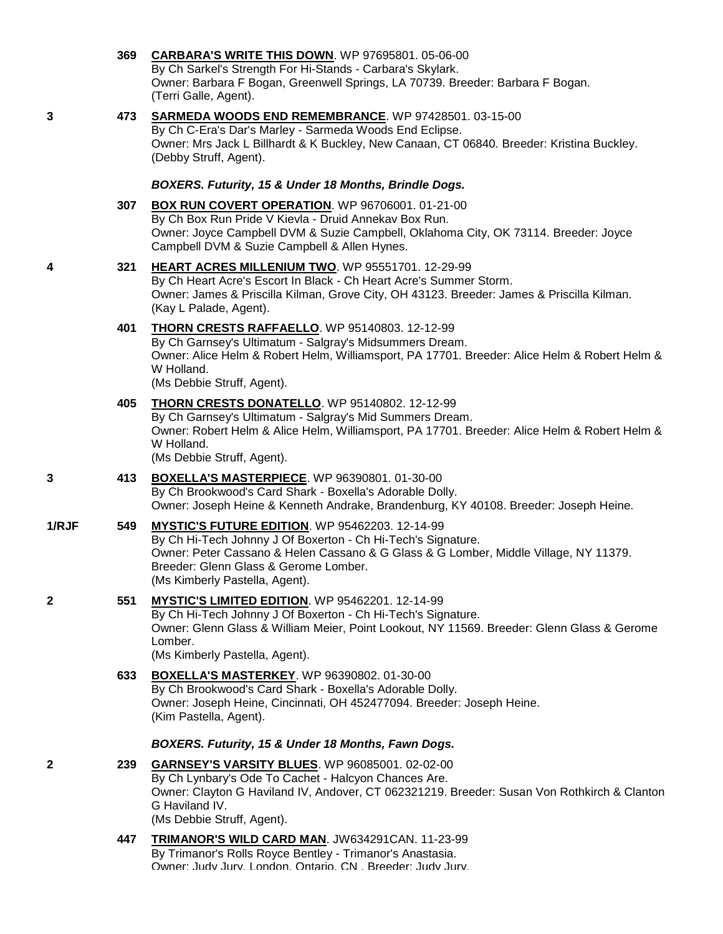|       | 369 | CARBARA'S WRITE THIS DOWN. WP 97695801. 05-06-00<br>By Ch Sarkel's Strength For Hi-Stands - Carbara's Skylark.<br>Owner: Barbara F Bogan, Greenwell Springs, LA 70739. Breeder: Barbara F Bogan.<br>(Terri Galle, Agent).                                                         |
|-------|-----|-----------------------------------------------------------------------------------------------------------------------------------------------------------------------------------------------------------------------------------------------------------------------------------|
| 3     | 473 | <b>SARMEDA WOODS END REMEMBRANCE.</b> WP 97428501. 03-15-00<br>By Ch C-Era's Dar's Marley - Sarmeda Woods End Eclipse.<br>Owner: Mrs Jack L Billhardt & K Buckley, New Canaan, CT 06840. Breeder: Kristina Buckley.<br>(Debby Struff, Agent).                                     |
|       |     | BOXERS. Futurity, 15 & Under 18 Months, Brindle Dogs.                                                                                                                                                                                                                             |
|       | 307 | BOX RUN COVERT OPERATION. WP 96706001. 01-21-00<br>By Ch Box Run Pride V Kievla - Druid Annekav Box Run.<br>Owner: Joyce Campbell DVM & Suzie Campbell, Oklahoma City, OK 73114. Breeder: Joyce<br>Campbell DVM & Suzie Campbell & Allen Hynes.                                   |
| 4     | 321 | HEART ACRES MILLENIUM TWO. WP 95551701. 12-29-99<br>By Ch Heart Acre's Escort In Black - Ch Heart Acre's Summer Storm.<br>Owner: James & Priscilla Kilman, Grove City, OH 43123. Breeder: James & Priscilla Kilman.<br>(Kay L Palade, Agent).                                     |
|       | 401 | THORN CRESTS RAFFAELLO. WP 95140803. 12-12-99<br>By Ch Garnsey's Ultimatum - Salgray's Midsummers Dream.<br>Owner: Alice Helm & Robert Helm, Williamsport, PA 17701. Breeder: Alice Helm & Robert Helm &<br>W Holland.<br>(Ms Debbie Struff, Agent).                              |
|       | 405 | THORN CRESTS DONATELLO. WP 95140802. 12-12-99<br>By Ch Garnsey's Ultimatum - Salgray's Mid Summers Dream.<br>Owner: Robert Helm & Alice Helm, Williamsport, PA 17701. Breeder: Alice Helm & Robert Helm &<br>W Holland.<br>(Ms Debbie Struff, Agent).                             |
| 3     | 413 | <b>BOXELLA'S MASTERPIECE.</b> WP 96390801. 01-30-00<br>By Ch Brookwood's Card Shark - Boxella's Adorable Dolly.<br>Owner: Joseph Heine & Kenneth Andrake, Brandenburg, KY 40108. Breeder: Joseph Heine.                                                                           |
| 1/RJF | 549 | MYSTIC'S FUTURE EDITION. WP 95462203. 12-14-99<br>By Ch Hi-Tech Johnny J Of Boxerton - Ch Hi-Tech's Signature.<br>Owner: Peter Cassano & Helen Cassano & G Glass & G Lomber, Middle Village, NY 11379.<br>Breeder: Glenn Glass & Gerome Lomber.<br>(Ms Kimberly Pastella, Agent). |
| 2     | 551 | MYSTIC'S LIMITED EDITION. WP 95462201. 12-14-99<br>By Ch Hi-Tech Johnny J Of Boxerton - Ch Hi-Tech's Signature.<br>Owner: Glenn Glass & William Meier, Point Lookout, NY 11569. Breeder: Glenn Glass & Gerome<br>Lomber.<br>(Ms Kimberly Pastella, Agent).                        |
|       | 633 | <b>BOXELLA'S MASTERKEY. WP 96390802. 01-30-00</b><br>By Ch Brookwood's Card Shark - Boxella's Adorable Dolly.<br>Owner: Joseph Heine, Cincinnati, OH 452477094. Breeder: Joseph Heine.<br>(Kim Pastella, Agent).                                                                  |
|       |     | BOXERS. Futurity, 15 & Under 18 Months, Fawn Dogs.                                                                                                                                                                                                                                |
| 2     | 239 | <b>GARNSEY'S VARSITY BLUES.</b> WP 96085001. 02-02-00<br>By Ch Lynbary's Ode To Cachet - Halcyon Chances Are.<br>Owner: Clayton G Haviland IV, Andover, CT 062321219. Breeder: Susan Von Rothkirch & Clanton<br>G Haviland IV.<br>(Ms Debbie Struff, Agent).                      |
|       | 447 | TRIMANOR'S WILD CARD MAN. JW634291CAN. 11-23-99<br>By Trimanor's Rolls Royce Bentley - Trimanor's Anastasia.<br>Owner: Judy Jury London Ontario CN Breeder: Judy Jury                                                                                                             |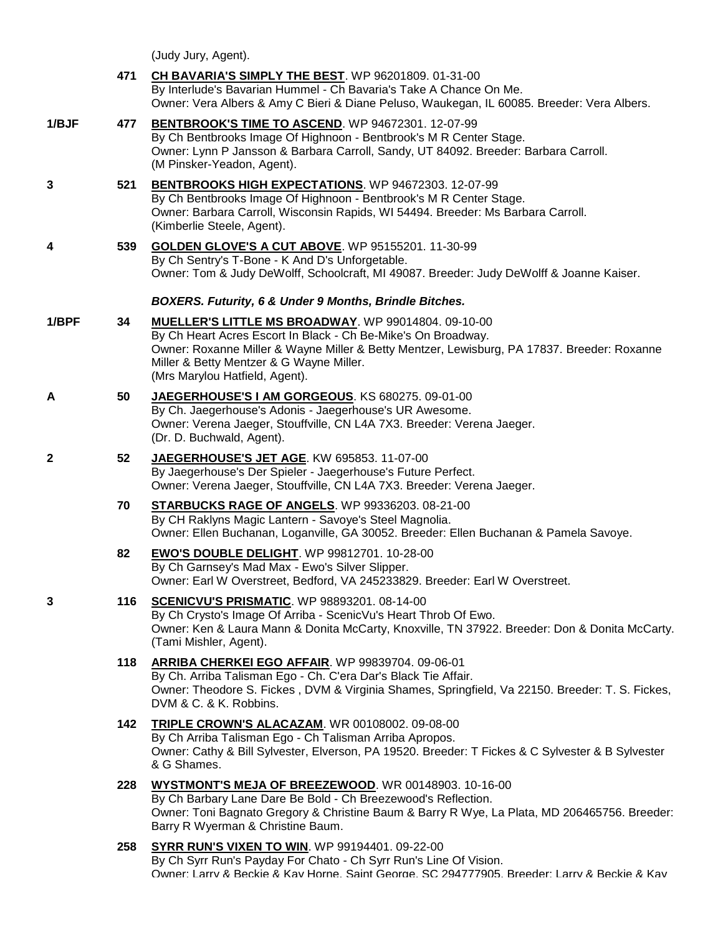(Judy Jury, Agent).

|              | 471 | CH BAVARIA'S SIMPLY THE BEST. WP 96201809. 01-31-00<br>By Interlude's Bavarian Hummel - Ch Bavaria's Take A Chance On Me.<br>Owner: Vera Albers & Amy C Bieri & Diane Peluso, Waukegan, IL 60085. Breeder: Vera Albers.                                                                           |
|--------------|-----|---------------------------------------------------------------------------------------------------------------------------------------------------------------------------------------------------------------------------------------------------------------------------------------------------|
| 1/BJF        | 477 | BENTBROOK'S TIME TO ASCEND. WP 94672301. 12-07-99<br>By Ch Bentbrooks Image Of Highnoon - Bentbrook's M R Center Stage.<br>Owner: Lynn P Jansson & Barbara Carroll, Sandy, UT 84092. Breeder: Barbara Carroll.<br>(M Pinsker-Yeadon, Agent).                                                      |
| 3            | 521 | BENTBROOKS HIGH EXPECTATIONS. WP 94672303. 12-07-99<br>By Ch Bentbrooks Image Of Highnoon - Bentbrook's M R Center Stage.<br>Owner: Barbara Carroll, Wisconsin Rapids, WI 54494. Breeder: Ms Barbara Carroll.<br>(Kimberlie Steele, Agent).                                                       |
| 4            | 539 | GOLDEN GLOVE'S A CUT ABOVE. WP 95155201. 11-30-99<br>By Ch Sentry's T-Bone - K And D's Unforgetable.<br>Owner: Tom & Judy DeWolff, Schoolcraft, MI 49087. Breeder: Judy DeWolff & Joanne Kaiser.                                                                                                  |
|              |     | BOXERS. Futurity, 6 & Under 9 Months, Brindle Bitches.                                                                                                                                                                                                                                            |
| 1/BPF        | 34  | MUELLER'S LITTLE MS BROADWAY. WP 99014804. 09-10-00<br>By Ch Heart Acres Escort In Black - Ch Be-Mike's On Broadway.<br>Owner: Roxanne Miller & Wayne Miller & Betty Mentzer, Lewisburg, PA 17837. Breeder: Roxanne<br>Miller & Betty Mentzer & G Wayne Miller.<br>(Mrs Marylou Hatfield, Agent). |
| A            | 50  | JAEGERHOUSE'S I AM GORGEOUS. KS 680275. 09-01-00<br>By Ch. Jaegerhouse's Adonis - Jaegerhouse's UR Awesome.<br>Owner: Verena Jaeger, Stouffville, CN L4A 7X3. Breeder: Verena Jaeger.<br>(Dr. D. Buchwald, Agent).                                                                                |
| $\mathbf{2}$ | 52  | JAEGERHOUSE'S JET AGE. KW 695853. 11-07-00<br>By Jaegerhouse's Der Spieler - Jaegerhouse's Future Perfect.<br>Owner: Verena Jaeger, Stouffville, CN L4A 7X3. Breeder: Verena Jaeger.                                                                                                              |
|              | 70  | STARBUCKS RAGE OF ANGELS. WP 99336203. 08-21-00<br>By CH Raklyns Magic Lantern - Savoye's Steel Magnolia.<br>Owner: Ellen Buchanan, Loganville, GA 30052. Breeder: Ellen Buchanan & Pamela Savoye.                                                                                                |
|              | 82  | <b>EWO'S DOUBLE DELIGHT. WP 99812701. 10-28-00</b><br>By Ch Garnsey's Mad Max - Ewo's Silver Slipper.<br>Owner: Earl W Overstreet, Bedford, VA 245233829. Breeder: Earl W Overstreet.                                                                                                             |
| 3            | 116 | SCENICVU'S PRISMATIC. WP 98893201. 08-14-00<br>By Ch Crysto's Image Of Arriba - ScenicVu's Heart Throb Of Ewo.<br>Owner: Ken & Laura Mann & Donita McCarty, Knoxville, TN 37922. Breeder: Don & Donita McCarty.<br>(Tami Mishler, Agent).                                                         |
|              | 118 | ARRIBA CHERKEI EGO AFFAIR. WP 99839704. 09-06-01<br>By Ch. Arriba Talisman Ego - Ch. C'era Dar's Black Tie Affair.<br>Owner: Theodore S. Fickes, DVM & Virginia Shames, Springfield, Va 22150. Breeder: T. S. Fickes,<br>DVM & C. & K. Robbins.                                                   |
|              | 142 | TRIPLE CROWN'S ALACAZAM. WR 00108002. 09-08-00<br>By Ch Arriba Talisman Ego - Ch Talisman Arriba Apropos.<br>Owner: Cathy & Bill Sylvester, Elverson, PA 19520. Breeder: T Fickes & C Sylvester & B Sylvester<br>& G Shames.                                                                      |
|              | 228 | WYSTMONT'S MEJA OF BREEZEWOOD. WR 00148903. 10-16-00<br>By Ch Barbary Lane Dare Be Bold - Ch Breezewood's Reflection.<br>Owner: Toni Bagnato Gregory & Christine Baum & Barry R Wye, La Plata, MD 206465756. Breeder:<br>Barry R Wyerman & Christine Baum.                                        |
|              | 258 | <b>SYRR RUN'S VIXEN TO WIN. WP 99194401. 09-22-00</b><br>By Ch Syrr Run's Payday For Chato - Ch Syrr Run's Line Of Vision.<br>Owner: Larry & Beckie & Kay Horne, Saint George, SC 294777905, Breeder: Larry & Beckie & Kay                                                                        |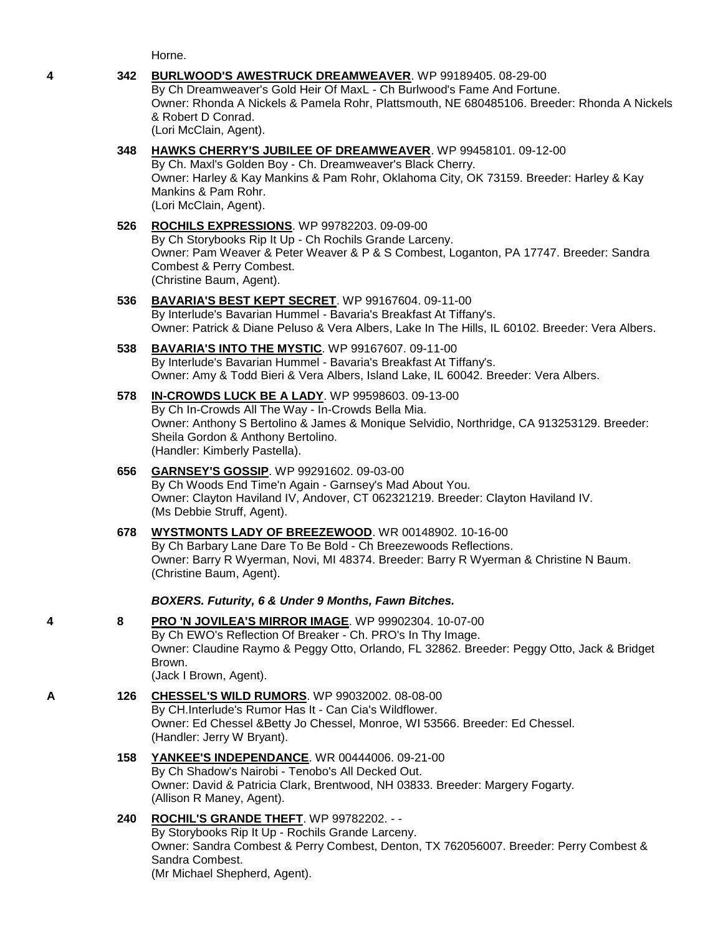Horne.

### **4 342 [BURLWOOD'S AWESTRUCK DREAMWEAVER](http://www.infodog.com/my/drlookup2.htm?makc=WP%2099189405&mdog=Burlwood%27s+AweStruck+Dreamweaver&wins=all)**. WP 99189405. 08-29-00 By Ch Dreamweaver's Gold Heir Of MaxL - Ch Burlwood's Fame And Fortune. Owner: Rhonda A Nickels & Pamela Rohr, Plattsmouth, NE 680485106. Breeder: Rhonda A Nickels & Robert D Conrad. (Lori McClain, Agent).

# **348 [HAWKS CHERRY'S JUBILEE OF DREAMWEAVER](http://www.infodog.com/my/drlookup2.htm?makc=WP%2099458101&mdog=Hawks+Cherry%27s+Jubilee+Of+Dreamweaver&wins=all)**. WP 99458101. 09-12-00

By Ch. Maxl's Golden Boy - Ch. Dreamweaver's Black Cherry. Owner: Harley & Kay Mankins & Pam Rohr, Oklahoma City, OK 73159. Breeder: Harley & Kay Mankins & Pam Rohr. (Lori McClain, Agent).

### **526 [ROCHILS EXPRESSIONS](http://www.infodog.com/my/drlookup2.htm?makc=WP%2099782203&mdog=Rochils+Expressions&wins=all)**. WP 99782203. 09-09-00 By Ch Storybooks Rip It Up - Ch Rochils Grande Larceny. Owner: Pam Weaver & Peter Weaver & P & S Combest, Loganton, PA 17747. Breeder: Sandra Combest & Perry Combest. (Christine Baum, Agent).

**536 [BAVARIA'S BEST KEPT SECRET](http://www.infodog.com/my/drlookup2.htm?makc=WP%2099167604&mdog=Bavaria%27s+Best+Kept+Secret&wins=all)**. WP 99167604. 09-11-00 By Interlude's Bavarian Hummel - Bavaria's Breakfast At Tiffany's. Owner: Patrick & Diane Peluso & Vera Albers, Lake In The Hills, IL 60102. Breeder: Vera Albers.

## **538 [BAVARIA'S INTO THE MYSTIC](http://www.infodog.com/my/drlookup2.htm?makc=WP%2099167607&mdog=Bavaria%27s+Into+The+Mystic&wins=all)**. WP 99167607. 09-11-00 By Interlude's Bavarian Hummel - Bavaria's Breakfast At Tiffany's. Owner: Amy & Todd Bieri & Vera Albers, Island Lake, IL 60042. Breeder: Vera Albers.

**578 [IN-CROWDS LUCK BE A LADY](http://www.infodog.com/my/drlookup2.htm?makc=WP%2099598603&mdog=In-Crowds+Luck+Be+A+Lady&wins=all)**. WP 99598603. 09-13-00 By Ch In-Crowds All The Way - In-Crowds Bella Mia. Owner: Anthony S Bertolino & James & Monique Selvidio, Northridge, CA 913253129. Breeder: Sheila Gordon & Anthony Bertolino. (Handler: Kimberly Pastella).

# **656 [GARNSEY'S GOSSIP](http://www.infodog.com/my/drlookup2.htm?makc=WP%2099291602&mdog=Garnsey%27s+Gossip&wins=all)**. WP 99291602. 09-03-00 By Ch Woods End Time'n Again - Garnsey's Mad About You. Owner: Clayton Haviland IV, Andover, CT 062321219. Breeder: Clayton Haviland IV. (Ms Debbie Struff, Agent).

# **678 [WYSTMONTS LADY OF BREEZEWOOD](http://www.infodog.com/my/drlookup2.htm?makc=WR%2000148902&mdog=Wystmonts+Lady+Of+Breezewood&wins=all)**. WR 00148902. 10-16-00 By Ch Barbary Lane Dare To Be Bold - Ch Breezewoods Reflections. Owner: Barry R Wyerman, Novi, MI 48374. Breeder: Barry R Wyerman & Christine N Baum. (Christine Baum, Agent).

# *BOXERS. Futurity, 6 & Under 9 Months, Fawn Bitches.*

### **4 8 [PRO 'N JOVILEA'S MIRROR IMAGE](http://www.infodog.com/my/drlookup2.htm?makc=WP%2099902304&mdog=PRO+%27N+Jovilea%27s+Mirror+Image&wins=all)**. WP 99902304. 10-07-00 By Ch EWO's Reflection Of Breaker - Ch. PRO's In Thy Image. Owner: Claudine Raymo & Peggy Otto, Orlando, FL 32862. Breeder: Peggy Otto, Jack & Bridget Brown. (Jack I Brown, Agent).

# **A 126 [CHESSEL'S WILD RUMORS](http://www.infodog.com/my/drlookup2.htm?makc=WP%2099032002&mdog=Chessel%27s+Wild+Rumors&wins=all)**. WP 99032002. 08-08-00 By CH.Interlude's Rumor Has It - Can Cia's Wildflower. Owner: Ed Chessel &Betty Jo Chessel, Monroe, WI 53566. Breeder: Ed Chessel. (Handler: Jerry W Bryant).

### **158 [YANKEE'S INDEPENDANCE](http://www.infodog.com/my/drlookup2.htm?makc=WR%2000444006&mdog=Yankee%27s+Independance&wins=all)**. WR 00444006. 09-21-00 By Ch Shadow's Nairobi - Tenobo's All Decked Out. Owner: David & Patricia Clark, Brentwood, NH 03833. Breeder: Margery Fogarty. (Allison R Maney, Agent).

#### **240 [ROCHIL'S GRANDE THEFT](http://www.infodog.com/my/drlookup2.htm?makc=WP%2099782202&mdog=Rochil%27s+Grande+Theft&wins=all)**. WP 99782202. - - By Storybooks Rip It Up - Rochils Grande Larceny. Owner: Sandra Combest & Perry Combest, Denton, TX 762056007. Breeder: Perry Combest & Sandra Combest. (Mr Michael Shepherd, Agent).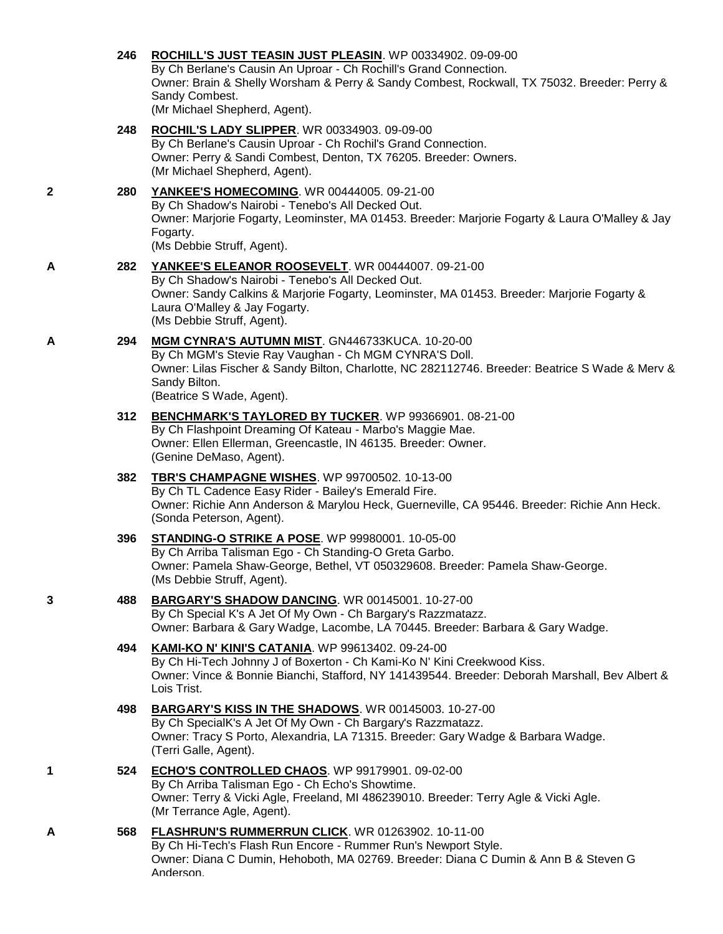|   | 246 | ROCHILL'S JUST TEASIN JUST PLEASIN. WP 00334902. 09-09-00<br>By Ch Berlane's Causin An Uproar - Ch Rochill's Grand Connection.<br>Owner: Brain & Shelly Worsham & Perry & Sandy Combest, Rockwall, TX 75032. Breeder: Perry &<br>Sandy Combest.<br>(Mr Michael Shepherd, Agent). |
|---|-----|----------------------------------------------------------------------------------------------------------------------------------------------------------------------------------------------------------------------------------------------------------------------------------|
|   | 248 | ROCHIL'S LADY SLIPPER. WR 00334903. 09-09-00<br>By Ch Berlane's Causin Uproar - Ch Rochil's Grand Connection.<br>Owner: Perry & Sandi Combest, Denton, TX 76205. Breeder: Owners.<br>(Mr Michael Shepherd, Agent).                                                               |
| 2 | 280 | YANKEE'S HOMECOMING. WR 00444005. 09-21-00<br>By Ch Shadow's Nairobi - Tenebo's All Decked Out.<br>Owner: Marjorie Fogarty, Leominster, MA 01453. Breeder: Marjorie Fogarty & Laura O'Malley & Jay<br>Fogarty.<br>(Ms Debbie Struff, Agent).                                     |
| A | 282 | YANKEE'S ELEANOR ROOSEVELT. WR 00444007. 09-21-00<br>By Ch Shadow's Nairobi - Tenebo's All Decked Out.<br>Owner: Sandy Calkins & Marjorie Fogarty, Leominster, MA 01453. Breeder: Marjorie Fogarty &<br>Laura O'Malley & Jay Fogarty.<br>(Ms Debbie Struff, Agent).              |
| A | 294 | MGM CYNRA'S AUTUMN MIST. GN446733KUCA. 10-20-00<br>By Ch MGM's Stevie Ray Vaughan - Ch MGM CYNRA'S Doll.<br>Owner: Lilas Fischer & Sandy Bilton, Charlotte, NC 282112746. Breeder: Beatrice S Wade & Merv &<br>Sandy Bilton.<br>(Beatrice S Wade, Agent).                        |
|   | 312 | BENCHMARK'S TAYLORED BY TUCKER. WP 99366901. 08-21-00<br>By Ch Flashpoint Dreaming Of Kateau - Marbo's Maggie Mae.<br>Owner: Ellen Ellerman, Greencastle, IN 46135. Breeder: Owner.<br>(Genine DeMaso, Agent).                                                                   |
|   | 382 | TBR'S CHAMPAGNE WISHES. WP 99700502. 10-13-00<br>By Ch TL Cadence Easy Rider - Bailey's Emerald Fire.<br>Owner: Richie Ann Anderson & Marylou Heck, Guerneville, CA 95446. Breeder: Richie Ann Heck.<br>(Sonda Peterson, Agent).                                                 |
|   | 396 | <b>STANDING-O STRIKE A POSE.</b> WP 99980001. 10-05-00<br>By Ch Arriba Talisman Ego - Ch Standing-O Greta Garbo.<br>Owner: Pamela Shaw-George, Bethel, VT 050329608. Breeder: Pamela Shaw-George.<br>(Ms Debbie Struff, Agent).                                                  |
| 3 | 488 | BARGARY'S SHADOW DANCING. WR 00145001. 10-27-00<br>By Ch Special K's A Jet Of My Own - Ch Bargary's Razzmatazz.<br>Owner: Barbara & Gary Wadge, Lacombe, LA 70445. Breeder: Barbara & Gary Wadge.                                                                                |
|   | 494 | <b>KAMI-KO N' KINI'S CATANIA.</b> WP 99613402. 09-24-00<br>By Ch Hi-Tech Johnny J of Boxerton - Ch Kami-Ko N' Kini Creekwood Kiss.<br>Owner: Vince & Bonnie Bianchi, Stafford, NY 141439544. Breeder: Deborah Marshall, Bev Albert &<br>Lois Trist.                              |
|   | 498 | <b>BARGARY'S KISS IN THE SHADOWS.</b> WR 00145003. 10-27-00<br>By Ch SpecialK's A Jet Of My Own - Ch Bargary's Razzmatazz.<br>Owner: Tracy S Porto, Alexandria, LA 71315. Breeder: Gary Wadge & Barbara Wadge.<br>(Terri Galle, Agent).                                          |
| 1 | 524 | ECHO'S CONTROLLED CHAOS. WP 99179901. 09-02-00<br>By Ch Arriba Talisman Ego - Ch Echo's Showtime.<br>Owner: Terry & Vicki Agle, Freeland, MI 486239010. Breeder: Terry Agle & Vicki Agle.<br>(Mr Terrance Agle, Agent).                                                          |
| Α | 568 | FLASHRUN'S RUMMERRUN CLICK. WR 01263902. 10-11-00<br>By Ch Hi-Tech's Flash Run Encore - Rummer Run's Newport Style.<br>Owner: Diana C Dumin, Hehoboth, MA 02769. Breeder: Diana C Dumin & Ann B & Steven G<br>Anderson                                                           |
|   |     |                                                                                                                                                                                                                                                                                  |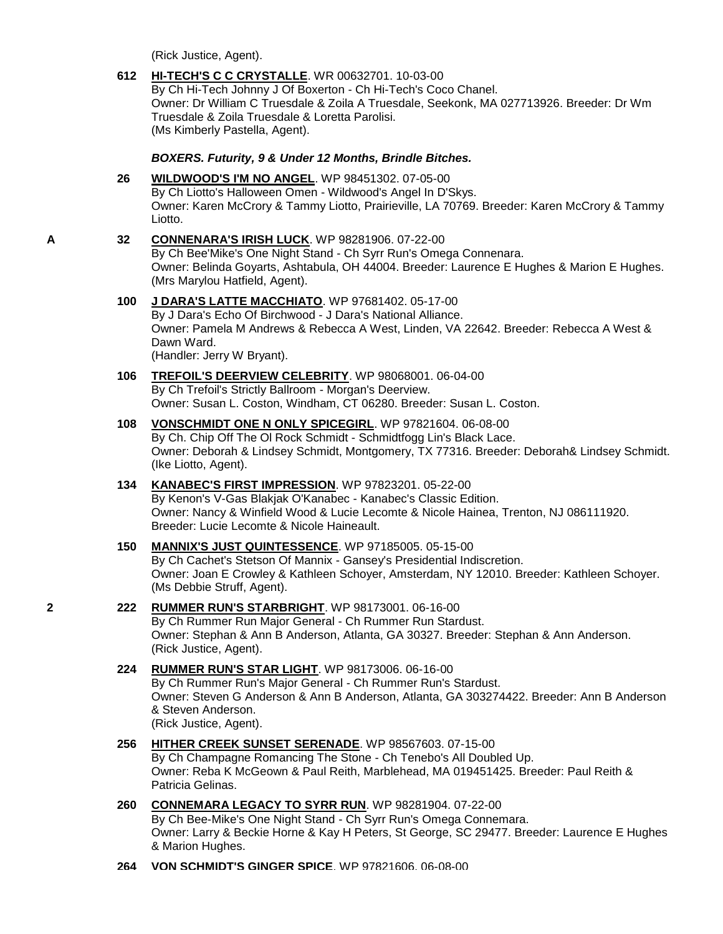(Rick Justice, Agent).

**612 [HI-TECH'S C C CRYSTALLE](http://www.infodog.com/my/drlookup2.htm?makc=WR%2000632701&mdog=Hi-Tech%27s+C+C+Crystalle&wins=all)**. WR 00632701. 10-03-00 By Ch Hi-Tech Johnny J Of Boxerton - Ch Hi-Tech's Coco Chanel. Owner: Dr William C Truesdale & Zoila A Truesdale, Seekonk, MA 027713926. Breeder: Dr Wm Truesdale & Zoila Truesdale & Loretta Parolisi. (Ms Kimberly Pastella, Agent). *BOXERS. Futurity, 9 & Under 12 Months, Brindle Bitches.* **26 [WILDWOOD'S I'M NO ANGEL](http://www.infodog.com/my/drlookup2.htm?makc=WP%2098451302&mdog=Wildwood%27s+I%27m+No+Angel&wins=all)**. WP 98451302. 07-05-00 By Ch Liotto's Halloween Omen - Wildwood's Angel In D'Skys. Owner: Karen McCrory & Tammy Liotto, Prairieville, LA 70769. Breeder: Karen McCrory & Tammy Liotto. **A 32 [CONNENARA'S IRISH LUCK](http://www.infodog.com/my/drlookup2.htm?makc=WP%2098281906&mdog=Connenara%27s+Irish+Luck&wins=all)**. WP 98281906. 07-22-00

By Ch Bee'Mike's One Night Stand - Ch Syrr Run's Omega Connenara. Owner: Belinda Goyarts, Ashtabula, OH 44004. Breeder: Laurence E Hughes & Marion E Hughes. (Mrs Marylou Hatfield, Agent).

#### **100 [J DARA'S LATTE MACCHIATO](http://www.infodog.com/my/drlookup2.htm?makc=WP%2097681402&mdog=J+Dara%27s+Latte+Macchiato&wins=all)**. WP 97681402. 05-17-00 By J Dara's Echo Of Birchwood - J Dara's National Alliance. Owner: Pamela M Andrews & Rebecca A West, Linden, VA 22642. Breeder: Rebecca A West & Dawn Ward. (Handler: Jerry W Bryant).

- **106 [TREFOIL'S DEERVIEW CELEBRITY](http://www.infodog.com/my/drlookup2.htm?makc=WP%2098068001&mdog=Trefoil%27s+Deerview+Celebrity&wins=all)**. WP 98068001. 06-04-00 By Ch Trefoil's Strictly Ballroom - Morgan's Deerview. Owner: Susan L. Coston, Windham, CT 06280. Breeder: Susan L. Coston.
- **108 [VONSCHMIDT ONE N ONLY SPICEGIRL](http://www.infodog.com/my/drlookup2.htm?makc=WP%2097821604&mdog=Vonschmidt+One+N+Only+Spicegirl&wins=all)**. WP 97821604. 06-08-00 By Ch. Chip Off The Ol Rock Schmidt - Schmidtfogg Lin's Black Lace. Owner: Deborah & Lindsey Schmidt, Montgomery, TX 77316. Breeder: Deborah& Lindsey Schmidt. (Ike Liotto, Agent).

### **134 [KANABEC'S FIRST IMPRESSION](http://www.infodog.com/my/drlookup2.htm?makc=WP%2097823201&mdog=Kanabec%27s+First+Impression&wins=all)**. WP 97823201. 05-22-00 By Kenon's V-Gas Blakjak O'Kanabec - Kanabec's Classic Edition. Owner: Nancy & Winfield Wood & Lucie Lecomte & Nicole Hainea, Trenton, NJ 086111920. Breeder: Lucie Lecomte & Nicole Haineault.

**150 [MANNIX'S JUST QUINTESSENCE](http://www.infodog.com/my/drlookup2.htm?makc=WP%2097185005&mdog=Mannix%27s+Just+Quintessence&wins=all)**. WP 97185005. 05-15-00 By Ch Cachet's Stetson Of Mannix - Gansey's Presidential Indiscretion. Owner: Joan E Crowley & Kathleen Schoyer, Amsterdam, NY 12010. Breeder: Kathleen Schoyer. (Ms Debbie Struff, Agent).

# **2 222 [RUMMER RUN'S STARBRIGHT](http://www.infodog.com/my/drlookup2.htm?makc=WP%2098173001&mdog=Rummer+Run%27s+Starbright&wins=all)**. WP 98173001. 06-16-00

By Ch Rummer Run Major General - Ch Rummer Run Stardust. Owner: Stephan & Ann B Anderson, Atlanta, GA 30327. Breeder: Stephan & Ann Anderson. (Rick Justice, Agent).

# **224 [RUMMER RUN'S STAR LIGHT](http://www.infodog.com/my/drlookup2.htm?makc=WP%2098173006&mdog=Rummer+Run%27s+Star+Light&wins=all)**. WP 98173006. 06-16-00

By Ch Rummer Run's Major General - Ch Rummer Run's Stardust. Owner: Steven G Anderson & Ann B Anderson, Atlanta, GA 303274422. Breeder: Ann B Anderson & Steven Anderson. (Rick Justice, Agent).

# **256 [HITHER CREEK SUNSET SERENADE](http://www.infodog.com/my/drlookup2.htm?makc=WP%2098567603&mdog=Hither+Creek+Sunset+Serenade&wins=all)**. WP 98567603. 07-15-00 By Ch Champagne Romancing The Stone - Ch Tenebo's All Doubled Up. Owner: Reba K McGeown & Paul Reith, Marblehead, MA 019451425. Breeder: Paul Reith & Patricia Gelinas.

- **260 [CONNEMARA LEGACY TO SYRR RUN](http://www.infodog.com/my/drlookup2.htm?makc=WP%2098281904&mdog=Connemara+Legacy+To+Syrr+Run&wins=all)**. WP 98281904. 07-22-00 By Ch Bee-Mike's One Night Stand - Ch Syrr Run's Omega Connemara. Owner: Larry & Beckie Horne & Kay H Peters, St George, SC 29477. Breeder: Laurence E Hughes & Marion Hughes.
- **264 [VON SCHMIDT'S GINGER SPICE](http://www.infodog.com/my/drlookup2.htm?makc=WP%2097821606&mdog=Von+Schmidt%27s+Ginger+Spice&wins=all)**. WP 97821606. 06-08-00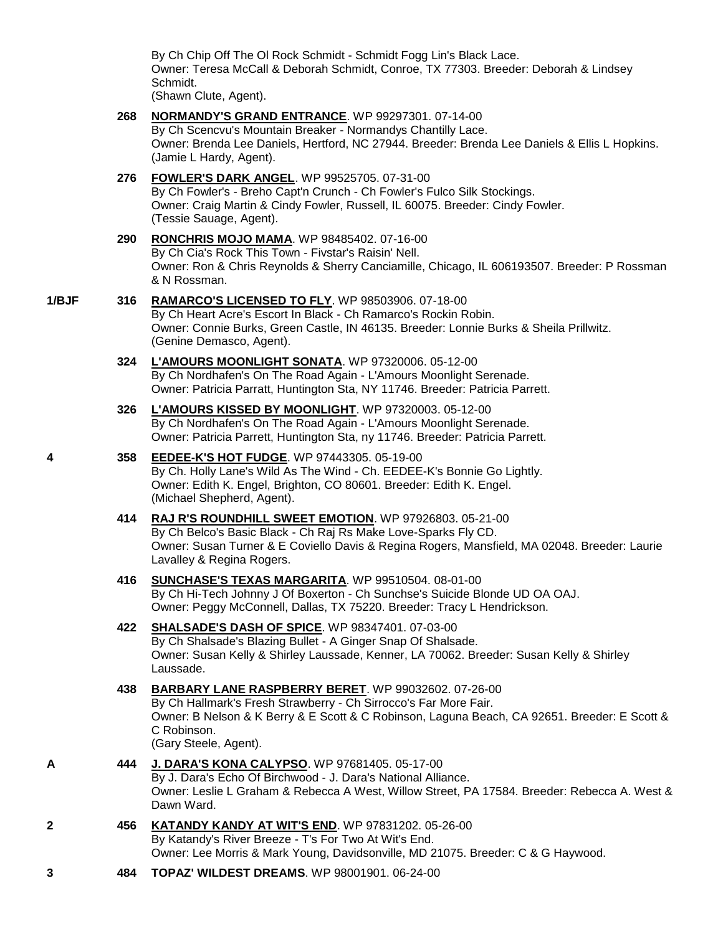By Ch Chip Off The Ol Rock Schmidt - Schmidt Fogg Lin's Black Lace. Owner: Teresa McCall & Deborah Schmidt, Conroe, TX 77303. Breeder: Deborah & Lindsey Schmidt.

(Shawn Clute, Agent).

**268 [NORMANDY'S GRAND ENTRANCE](http://www.infodog.com/my/drlookup2.htm?makc=WP%2099297301&mdog=Normandy%27s+Grand+Entrance&wins=all)**. WP 99297301. 07-14-00 By Ch Scencvu's Mountain Breaker - Normandys Chantilly Lace. Owner: Brenda Lee Daniels, Hertford, NC 27944. Breeder: Brenda Lee Daniels & Ellis L Hopkins. (Jamie L Hardy, Agent). **276 [FOWLER'S DARK ANGEL](http://www.infodog.com/my/drlookup2.htm?makc=WP%2099525705&mdog=Fowler%27s+Dark+Angel&wins=all)**. WP 99525705. 07-31-00 By Ch Fowler's - Breho Capt'n Crunch - Ch Fowler's Fulco Silk Stockings. Owner: Craig Martin & Cindy Fowler, Russell, IL 60075. Breeder: Cindy Fowler. (Tessie Sauage, Agent). **290 [RONCHRIS MOJO MAMA](http://www.infodog.com/my/drlookup2.htm?makc=WP%2098485402&mdog=RonChris+Mojo+Mama&wins=all)**. WP 98485402. 07-16-00 By Ch Cia's Rock This Town - Fivstar's Raisin' Nell. Owner: Ron & Chris Reynolds & Sherry Canciamille, Chicago, IL 606193507. Breeder: P Rossman & N Rossman. **1/BJF 316 [RAMARCO'S LICENSED TO FLY](http://www.infodog.com/my/drlookup2.htm?makc=WP%2098503906&mdog=Ramarco%27�~s+Licensed+To+Fly&wins=all)**. WP 98503906. 07-18-00 By Ch Heart Acre's Escort In Black - Ch Ramarco's Rockin Robin. Owner: Connie Burks, Green Castle, IN 46135. Breeder: Lonnie Burks & Sheila Prillwitz. (Genine Demasco, Agent). **324 [L'AMOURS MOONLIGHT SONATA](http://www.infodog.com/my/drlookup2.htm?makc=WP%2097320006&mdog=L%27Amours+Moonlight+Sonata&wins=all)**. WP 97320006. 05-12-00 By Ch Nordhafen's On The Road Again - L'Amours Moonlight Serenade. Owner: Patricia Parratt, Huntington Sta, NY 11746. Breeder: Patricia Parrett. **326 [L'AMOURS KISSED BY MOONLIGHT](http://www.infodog.com/my/drlookup2.htm?makc=WP%2097320003&mdog=L%27Amours+Kissed+By+Moonlight&wins=all)**. WP 97320003. 05-12-00 By Ch Nordhafen's On The Road Again - L'Amours Moonlight Serenade. Owner: Patricia Parrett, Huntington Sta, ny 11746. Breeder: Patricia Parrett. **4 358 [EEDEE-K'S HOT FUDGE](http://www.infodog.com/my/drlookup2.htm?makc=WP%2097443305&mdog=EEDEE-K%27s+Hot+Fudge&wins=all)**. WP 97443305. 05-19-00 By Ch. Holly Lane's Wild As The Wind - Ch. EEDEE-K's Bonnie Go Lightly. Owner: Edith K. Engel, Brighton, CO 80601. Breeder: Edith K. Engel. (Michael Shepherd, Agent). **414 [RAJ R'S ROUNDHILL SWEET EMOTION](http://www.infodog.com/my/drlookup2.htm?makc=WP%2097926803&mdog=Raj+R%27s+Roundhill+Sweet+Emotion&wins=all)**. WP 97926803. 05-21-00 By Ch Belco's Basic Black - Ch Raj Rs Make Love-Sparks Fly CD. Owner: Susan Turner & E Coviello Davis & Regina Rogers, Mansfield, MA 02048. Breeder: Laurie Lavalley & Regina Rogers. **416 [SUNCHASE'S TEXAS MARGARITA](http://www.infodog.com/my/drlookup2.htm?makc=WP%2099510504&mdog=Sunchase%27s+Texas+Margarita&wins=all)**. WP 99510504. 08-01-00 By Ch Hi-Tech Johnny J Of Boxerton - Ch Sunchse's Suicide Blonde UD OA OAJ. Owner: Peggy McConnell, Dallas, TX 75220. Breeder: Tracy L Hendrickson. **422 [SHALSADE'S DASH OF SPICE](http://www.infodog.com/my/drlookup2.htm?makc=WP%2098347401&mdog=Shalsade%27s+Dash+Of+Spice&wins=all)**. WP 98347401. 07-03-00 By Ch Shalsade's Blazing Bullet - A Ginger Snap Of Shalsade. Owner: Susan Kelly & Shirley Laussade, Kenner, LA 70062. Breeder: Susan Kelly & Shirley Laussade. **438 [BARBARY LANE RASPBERRY BERET](http://www.infodog.com/my/drlookup2.htm?makc=WP%2099032602&mdog=Barbary+Lane+Raspberry+Beret&wins=all)**. WP 99032602. 07-26-00 By Ch Hallmark's Fresh Strawberry - Ch Sirrocco's Far More Fair. Owner: B Nelson & K Berry & E Scott & C Robinson, Laguna Beach, CA 92651. Breeder: E Scott & C Robinson. (Gary Steele, Agent). **A 444 [J. DARA'S KONA CALYPSO](http://www.infodog.com/my/drlookup2.htm?makc=WP%2097681405&mdog=J.+Dara%27s+Kona+Calypso&wins=all)**. WP 97681405. 05-17-00 By J. Dara's Echo Of Birchwood - J. Dara's National Alliance. Owner: Leslie L Graham & Rebecca A West, Willow Street, PA 17584. Breeder: Rebecca A. West & Dawn Ward. **2 456 [KATANDY KANDY AT WIT'S END](http://www.infodog.com/my/drlookup2.htm?makc=WP%2097831202&mdog=Katandy+Kandy+At+Wit%27s+End&wins=all)**. WP 97831202. 05-26-00 By Katandy's River Breeze - T's For Two At Wit's End. Owner: Lee Morris & Mark Young, Davidsonville, MD 21075. Breeder: C & G Haywood. **3 484 [TOPAZ' WILDEST DREAMS](http://www.infodog.com/my/drlookup2.htm?makc=WP%2098001901&mdog=Topaz%27+Wildest+Dreams&wins=all)**. WP 98001901. 06-24-00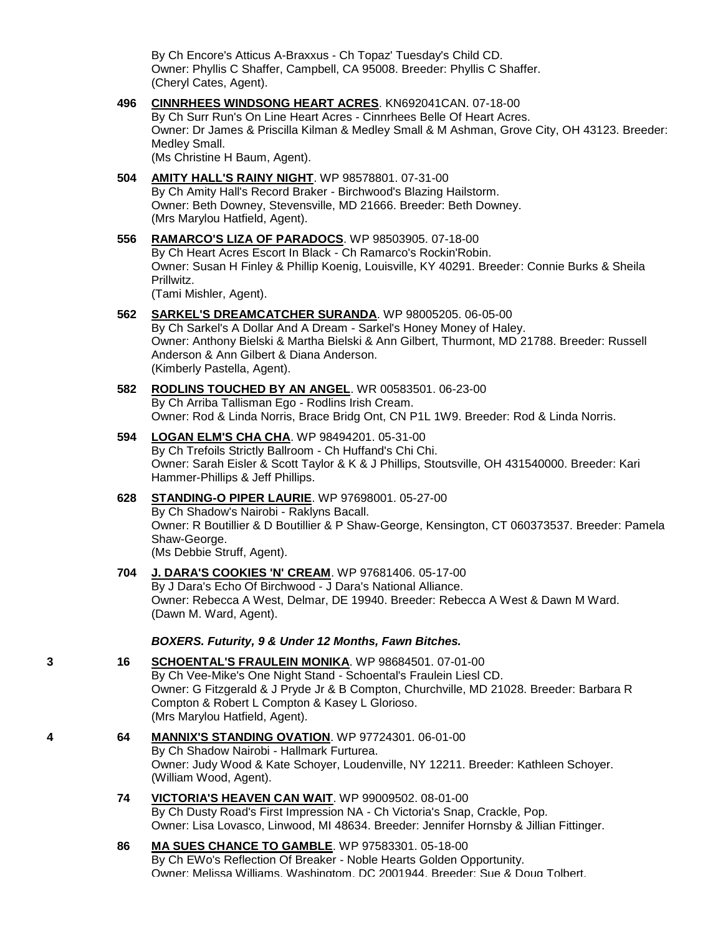By Ch Encore's Atticus A-Braxxus - Ch Topaz' Tuesday's Child CD. Owner: Phyllis C Shaffer, Campbell, CA 95008. Breeder: Phyllis C Shaffer. (Cheryl Cates, Agent).

**496 [CINNRHEES WINDSONG HEART ACRES](http://www.infodog.com/my/drlookup2.htm?makc=KN692041CAN&mdog=Cinnrhees+Windsong+Heart+Acres&wins=all)**. KN692041CAN. 07-18-00 By Ch Surr Run's On Line Heart Acres - Cinnrhees Belle Of Heart Acres. Owner: Dr James & Priscilla Kilman & Medley Small & M Ashman, Grove City, OH 43123. Breeder: Medley Small. (Ms Christine H Baum, Agent).

**504 [AMITY HALL'S RAINY NIGHT](http://www.infodog.com/my/drlookup2.htm?makc=WP%2098578801&mdog=Amity+Hall%27s+Rainy+Night&wins=all)**. WP 98578801. 07-31-00 By Ch Amity Hall's Record Braker - Birchwood's Blazing Hailstorm. Owner: Beth Downey, Stevensville, MD 21666. Breeder: Beth Downey. (Mrs Marylou Hatfield, Agent).

- **556 [RAMARCO'S LIZA OF PARADOCS](http://www.infodog.com/my/drlookup2.htm?makc=WP%2098503905&mdog=Ramarco%27s+Liza+Of+Paradocs&wins=all)**. WP 98503905. 07-18-00 By Ch Heart Acres Escort In Black - Ch Ramarco's Rockin'Robin. Owner: Susan H Finley & Phillip Koenig, Louisville, KY 40291. Breeder: Connie Burks & Sheila Prillwitz. (Tami Mishler, Agent).
- **562 [SARKEL'S DREAMCATCHER SURANDA](http://www.infodog.com/my/drlookup2.htm?makc=WP%2098005205&mdog=Sarkel%27s+Dreamcatcher+Suranda&wins=all)**. WP 98005205. 06-05-00 By Ch Sarkel's A Dollar And A Dream - Sarkel's Honey Money of Haley. Owner: Anthony Bielski & Martha Bielski & Ann Gilbert, Thurmont, MD 21788. Breeder: Russell Anderson & Ann Gilbert & Diana Anderson. (Kimberly Pastella, Agent).

### **582 [RODLINS TOUCHED BY AN ANGEL](http://www.infodog.com/my/drlookup2.htm?makc=WR%2000583501&mdog=Rodlins+Touched+By+An+Angel&wins=all)**. WR 00583501. 06-23-00 By Ch Arriba Tallisman Ego - Rodlins Irish Cream. Owner: Rod & Linda Norris, Brace Bridg Ont, CN P1L 1W9. Breeder: Rod & Linda Norris.

# **594 [LOGAN ELM'S CHA CHA](http://www.infodog.com/my/drlookup2.htm?makc=WP%2098494201&mdog=Logan+Elm%27s+Cha+Cha&wins=all)**. WP 98494201. 05-31-00 By Ch Trefoils Strictly Ballroom - Ch Huffand's Chi Chi. Owner: Sarah Eisler & Scott Taylor & K & J Phillips, Stoutsville, OH 431540000. Breeder: Kari Hammer-Phillips & Jeff Phillips.

#### **628 [STANDING-O PIPER LAURIE](http://www.infodog.com/my/drlookup2.htm?makc=WP%2097698001&mdog=Standing-O+Piper+Laurie&wins=all)**. WP 97698001. 05-27-00 By Ch Shadow's Nairobi - Raklyns Bacall. Owner: R Boutillier & D Boutillier & P Shaw-George, Kensington, CT 060373537. Breeder: Pamela Shaw-George. (Ms Debbie Struff, Agent).

### **704 [J. DARA'S COOKIES 'N' CREAM](http://www.infodog.com/my/drlookup2.htm?makc=WP%2097681406&mdog=J.+Dara%27s+Cookies+%27N%27+Cream&wins=all)**. WP 97681406. 05-17-00 By J Dara's Echo Of Birchwood - J Dara's National Alliance. Owner: Rebecca A West, Delmar, DE 19940. Breeder: Rebecca A West & Dawn M Ward. (Dawn M. Ward, Agent).

# *BOXERS. Futurity, 9 & Under 12 Months, Fawn Bitches.*

- **3 16 [SCHOENTAL'S FRAULEIN MONIKA](http://www.infodog.com/my/drlookup2.htm?makc=WP%2098684501&mdog=Schoental%27s+Fraulein+Monika&wins=all)**. WP 98684501. 07-01-00 By Ch Vee-Mike's One Night Stand - Schoental's Fraulein Liesl CD. Owner: G Fitzgerald & J Pryde Jr & B Compton, Churchville, MD 21028. Breeder: Barbara R Compton & Robert L Compton & Kasey L Glorioso. (Mrs Marylou Hatfield, Agent).
- **4 64 [MANNIX'S STANDING OVATION](http://www.infodog.com/my/drlookup2.htm?makc=WP%2097724301&mdog=Mannix%27s+Standing+Ovation&wins=all)**. WP 97724301. 06-01-00 By Ch Shadow Nairobi - Hallmark Furturea. Owner: Judy Wood & Kate Schoyer, Loudenville, NY 12211. Breeder: Kathleen Schoyer. (William Wood, Agent).
	- **74 [VICTORIA'S HEAVEN CAN WAIT](http://www.infodog.com/my/drlookup2.htm?makc=WP%2099009502&mdog=Victoria%27s+Heaven+Can+Wait&wins=all)**. WP 99009502. 08-01-00 By Ch Dusty Road's First Impression NA - Ch Victoria's Snap, Crackle, Pop. Owner: Lisa Lovasco, Linwood, MI 48634. Breeder: Jennifer Hornsby & Jillian Fittinger.
	- **86 [MA SUES CHANCE TO GAMBLE](http://www.infodog.com/my/drlookup2.htm?makc=WP%2097583301&mdog=Ma+Sues+Chance+To+Gamble&wins=all)**. WP 97583301. 05-18-00 By Ch EWo's Reflection Of Breaker - Noble Hearts Golden Opportunity. Owner: Melissa Williams, Washingtom, DC 2001944. Breeder: Sue & Doug Tolbert.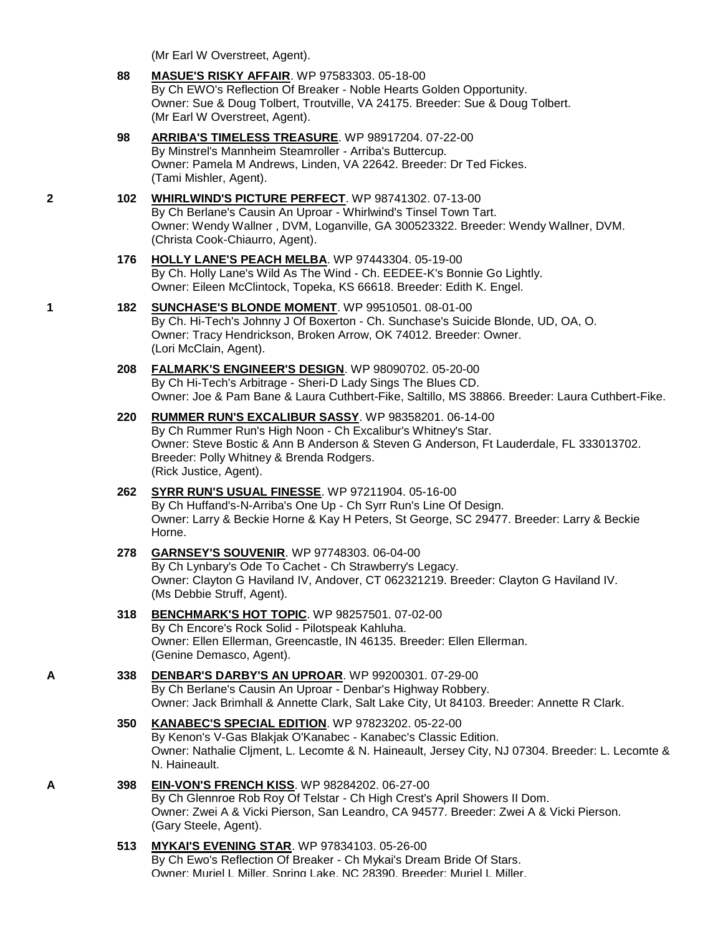|   |            | (Mr Earl W Overstreet, Agent).                                                                                                                                                                                                                                                              |
|---|------------|---------------------------------------------------------------------------------------------------------------------------------------------------------------------------------------------------------------------------------------------------------------------------------------------|
|   | 88         | <b>MASUE'S RISKY AFFAIR. WP 97583303. 05-18-00</b><br>By Ch EWO's Reflection Of Breaker - Noble Hearts Golden Opportunity.<br>Owner: Sue & Doug Tolbert, Troutville, VA 24175. Breeder: Sue & Doug Tolbert.<br>(Mr Earl W Overstreet, Agent).                                               |
|   | 98         | ARRIBA'S TIMELESS TREASURE. WP 98917204. 07-22-00<br>By Minstrel's Mannheim Steamroller - Arriba's Buttercup.<br>Owner: Pamela M Andrews, Linden, VA 22642. Breeder: Dr Ted Fickes.<br>(Tami Mishler, Agent).                                                                               |
| 2 | 102        | WHIRLWIND'S PICTURE PERFECT. WP 98741302. 07-13-00<br>By Ch Berlane's Causin An Uproar - Whirlwind's Tinsel Town Tart.<br>Owner: Wendy Wallner, DVM, Loganville, GA 300523322. Breeder: Wendy Wallner, DVM.<br>(Christa Cook-Chiaurro, Agent).                                              |
|   | 176        | <b>HOLLY LANE'S PEACH MELBA. WP 97443304. 05-19-00</b><br>By Ch. Holly Lane's Wild As The Wind - Ch. EEDEE-K's Bonnie Go Lightly.<br>Owner: Eileen McClintock, Topeka, KS 66618. Breeder: Edith K. Engel.                                                                                   |
| 1 | 182        | SUNCHASE'S BLONDE MOMENT. WP 99510501. 08-01-00<br>By Ch. Hi-Tech's Johnny J Of Boxerton - Ch. Sunchase's Suicide Blonde, UD, OA, O.<br>Owner: Tracy Hendrickson, Broken Arrow, OK 74012. Breeder: Owner.<br>(Lori McClain, Agent).                                                         |
|   | 208        | FALMARK'S ENGINEER'S DESIGN. WP 98090702. 05-20-00<br>By Ch Hi-Tech's Arbitrage - Sheri-D Lady Sings The Blues CD.<br>Owner: Joe & Pam Bane & Laura Cuthbert-Fike, Saltillo, MS 38866. Breeder: Laura Cuthbert-Fike.                                                                        |
|   | 220        | <b>RUMMER RUN'S EXCALIBUR SASSY.</b> WP 98358201. 06-14-00<br>By Ch Rummer Run's High Noon - Ch Excalibur's Whitney's Star.<br>Owner: Steve Bostic & Ann B Anderson & Steven G Anderson, Ft Lauderdale, FL 333013702.<br>Breeder: Polly Whitney & Brenda Rodgers.<br>(Rick Justice, Agent). |
|   | 262        | SYRR RUN'S USUAL FINESSE. WP 97211904. 05-16-00<br>By Ch Huffand's-N-Arriba's One Up - Ch Syrr Run's Line Of Design.<br>Owner: Larry & Beckie Horne & Kay H Peters, St George, SC 29477. Breeder: Larry & Beckie<br>Horne.                                                                  |
|   | 278        | GARNSEY'S SOUVENIR. WP 97748303. 06-04-00<br>By Ch Lynbary's Ode To Cachet - Ch Strawberry's Legacy.<br>Owner: Clayton G Haviland IV, Andover, CT 062321219. Breeder: Clayton G Haviland IV.<br>(Ms Debbie Struff, Agent).                                                                  |
|   | 318        | <b>BENCHMARK'S HOT TOPIC. WP 98257501. 07-02-00</b><br>By Ch Encore's Rock Solid - Pilotspeak Kahluha.<br>Owner: Ellen Ellerman, Greencastle, IN 46135. Breeder: Ellen Ellerman.<br>(Genine Demasco, Agent).                                                                                |
| А | 338        | <b>DENBAR'S DARBY'S AN UPROAR.</b> WP 99200301. 07-29-00<br>By Ch Berlane's Causin An Uproar - Denbar's Highway Robbery.<br>Owner: Jack Brimhall & Annette Clark, Salt Lake City, Ut 84103. Breeder: Annette R Clark.                                                                       |
|   | <b>350</b> | <b>KANABEC'S SPECIAL EDITION. WP 97823202. 05-22-00</b><br>By Kenon's V-Gas Blakjak O'Kanabec - Kanabec's Classic Edition.<br>Owner: Nathalie Cljment, L. Lecomte & N. Haineault, Jersey City, NJ 07304. Breeder: L. Lecomte &<br>N. Haineault.                                             |
| А | 398        | <b>EIN-VON'S FRENCH KISS. WP 98284202. 06-27-00</b><br>By Ch Glennroe Rob Roy Of Telstar - Ch High Crest's April Showers II Dom.<br>Owner: Zwei A & Vicki Pierson, San Leandro, CA 94577. Breeder: Zwei A & Vicki Pierson.<br>(Gary Steele, Agent).                                         |
|   |            | MVIZAUS EVENING STAD WD 07004400 OF 30.00                                                                                                                                                                                                                                                   |

**513 [MYKAI'S EVENING STAR](http://www.infodog.com/my/drlookup2.htm?makc=WP%2097834103&mdog=MyKai%27s+Evening+Star&wins=all)**. WP 97834103. 05-26-00 By Ch Ewo's Reflection Of Breaker - Ch Mykai's Dream Bride Of Stars. Owner: Muriel L Miller, Spring Lake, NC 28390. Breeder: Muriel L Miller.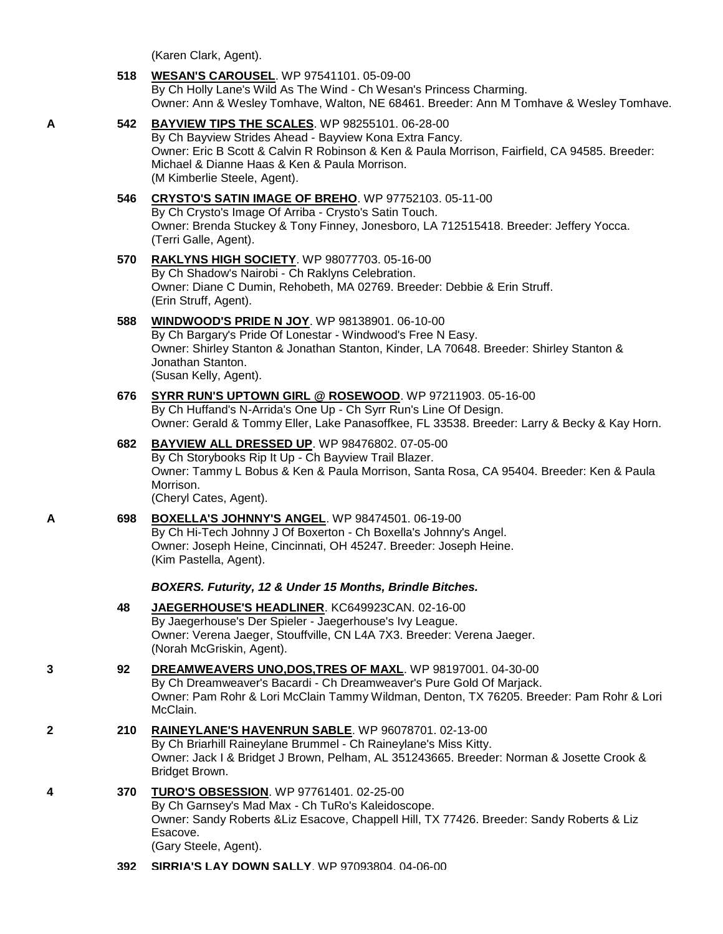(Karen Clark, Agent).

- **518 [WESAN'S CAROUSEL](http://www.infodog.com/my/drlookup2.htm?makc=WP%2097541101&mdog=Wesan%27s+Carousel&wins=all)**. WP 97541101. 05-09-00 By Ch Holly Lane's Wild As The Wind - Ch Wesan's Princess Charming. Owner: Ann & Wesley Tomhave, Walton, NE 68461. Breeder: Ann M Tomhave & Wesley Tomhave. **A 542 [BAYVIEW TIPS THE SCALES](http://www.infodog.com/my/drlookup2.htm?makc=WP%2098255101&mdog=Bayview+Tips+The+Scales&wins=all)**. WP 98255101. 06-28-00 By Ch Bayview Strides Ahead - Bayview Kona Extra Fancy.
	- Owner: Eric B Scott & Calvin R Robinson & Ken & Paula Morrison, Fairfield, CA 94585. Breeder: Michael & Dianne Haas & Ken & Paula Morrison. (M Kimberlie Steele, Agent).
	- **546 [CRYSTO'S SATIN IMAGE OF BREHO](http://www.infodog.com/my/drlookup2.htm?makc=WP%2097752103&mdog=Crysto%27s+Satin+Image+Of+Breho&wins=all)**. WP 97752103. 05-11-00 By Ch Crysto's Image Of Arriba - Crysto's Satin Touch. Owner: Brenda Stuckey & Tony Finney, Jonesboro, LA 712515418. Breeder: Jeffery Yocca. (Terri Galle, Agent).
	- **570 [RAKLYNS HIGH SOCIETY](http://www.infodog.com/my/drlookup2.htm?makc=WP%2098077703&mdog=Raklyns+High+Society&wins=all)**. WP 98077703. 05-16-00 By Ch Shadow's Nairobi - Ch Raklyns Celebration. Owner: Diane C Dumin, Rehobeth, MA 02769. Breeder: Debbie & Erin Struff. (Erin Struff, Agent).
	- **588 [WINDWOOD'S PRIDE N JOY](http://www.infodog.com/my/drlookup2.htm?makc=WP%2098138901&mdog=Windwood%27s+Pride+N+Joy&wins=all)**. WP 98138901. 06-10-00 By Ch Bargary's Pride Of Lonestar - Windwood's Free N Easy. Owner: Shirley Stanton & Jonathan Stanton, Kinder, LA 70648. Breeder: Shirley Stanton & Jonathan Stanton. (Susan Kelly, Agent).
	- **676 [SYRR RUN'S UPTOWN GIRL @ ROSEWOOD](http://www.infodog.com/my/drlookup2.htm?makc=WP%2097211903&mdog=Syrr+Run%27s+Uptown+Girl+@+Rosewood&wins=all)**. WP 97211903. 05-16-00 By Ch Huffand's N-Arrida's One Up - Ch Syrr Run's Line Of Design. Owner: Gerald & Tommy Eller, Lake Panasoffkee, FL 33538. Breeder: Larry & Becky & Kay Horn.
	- **682 [BAYVIEW ALL DRESSED UP](http://www.infodog.com/my/drlookup2.htm?makc=WP%2098476802&mdog=Bayview+All+Dressed+Up&wins=all)**. WP 98476802. 07-05-00 By Ch Storybooks Rip It Up - Ch Bayview Trail Blazer. Owner: Tammy L Bobus & Ken & Paula Morrison, Santa Rosa, CA 95404. Breeder: Ken & Paula Morrison. (Cheryl Cates, Agent).
- **A 698 [BOXELLA'S JOHNNY'S ANGEL](http://www.infodog.com/my/drlookup2.htm?makc=WP%2098474501&mdog=Boxella%27s+Johnny%27s+Angel&wins=all)**. WP 98474501. 06-19-00 By Ch Hi-Tech Johnny J Of Boxerton - Ch Boxella's Johnny's Angel. Owner: Joseph Heine, Cincinnati, OH 45247. Breeder: Joseph Heine. (Kim Pastella, Agent).

# *BOXERS. Futurity, 12 & Under 15 Months, Brindle Bitches.*

- **48 [JAEGERHOUSE'S HEADLINER](http://www.infodog.com/my/drlookup2.htm?makc=KC649923CAN&mdog=Jaegerhouse%27s+Headliner&wins=all)**. KC649923CAN. 02-16-00 By Jaegerhouse's Der Spieler - Jaegerhouse's Ivy League. Owner: Verena Jaeger, Stouffville, CN L4A 7X3. Breeder: Verena Jaeger. (Norah McGriskin, Agent).
- **3 92 [DREAMWEAVERS UNO,DOS,TRES OF MAXL](http://www.infodog.com/my/drlookup2.htm?makc=WP%2098197001&mdog=Dreamweavers+Uno,Dos,Tres+Of+Maxl&wins=all)**. WP 98197001. 04-30-00 By Ch Dreamweaver's Bacardi - Ch Dreamweaver's Pure Gold Of Marjack. Owner: Pam Rohr & Lori McClain Tammy Wildman, Denton, TX 76205. Breeder: Pam Rohr & Lori McClain.
- **2 210 [RAINEYLANE'S HAVENRUN SABLE](http://www.infodog.com/my/drlookup2.htm?makc=WP%2096078701&mdog=Raineylane%27s+Havenrun+Sable&wins=all)**. WP 96078701. 02-13-00 By Ch Briarhill Raineylane Brummel - Ch Raineylane's Miss Kitty. Owner: Jack I & Bridget J Brown, Pelham, AL 351243665. Breeder: Norman & Josette Crook & Bridget Brown.
- **4 370 [TURO'S OBSESSION](http://www.infodog.com/my/drlookup2.htm?makc=WP%2097761401&mdog=TuRo%27s+Obsession&wins=all)**. WP 97761401. 02-25-00 By Ch Garnsey's Mad Max - Ch TuRo's Kaleidoscope. Owner: Sandy Roberts &Liz Esacove, Chappell Hill, TX 77426. Breeder: Sandy Roberts & Liz Esacove. (Gary Steele, Agent).
	- **392 [SIRRIA'S LAY DOWN SALLY](http://www.infodog.com/my/drlookup2.htm?makc=WP%2097093804&mdog=SirRia%27s+Lay+Down+Sally&wins=all)**. WP 97093804. 04-06-00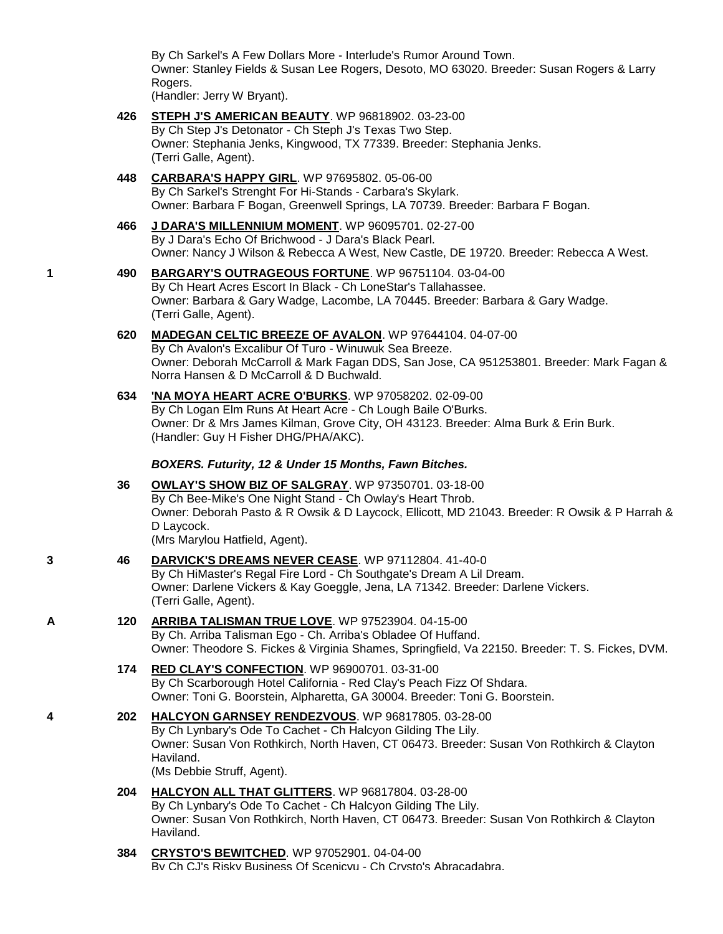By Ch Sarkel's A Few Dollars More - Interlude's Rumor Around Town. Owner: Stanley Fields & Susan Lee Rogers, Desoto, MO 63020. Breeder: Susan Rogers & Larry Rogers.

(Handler: Jerry W Bryant).

- **426 [STEPH J'S AMERICAN BEAUTY](http://www.infodog.com/my/drlookup2.htm?makc=WP%2096818902&mdog=Steph+J%27s+American+Beauty&wins=all)**. WP 96818902. 03-23-00 By Ch Step J's Detonator - Ch Steph J's Texas Two Step. Owner: Stephania Jenks, Kingwood, TX 77339. Breeder: Stephania Jenks. (Terri Galle, Agent).
- **448 [CARBARA'S HAPPY GIRL](http://www.infodog.com/my/drlookup2.htm?makc=WP%2097695802&mdog=Carbara%27s+Happy+Girl&wins=all)**. WP 97695802. 05-06-00 By Ch Sarkel's Strenght For Hi-Stands - Carbara's Skylark. Owner: Barbara F Bogan, Greenwell Springs, LA 70739. Breeder: Barbara F Bogan.
- **466 [J DARA'S MILLENNIUM MOMENT](http://www.infodog.com/my/drlookup2.htm?makc=WP%2096095701&mdog=J+Dara%27s+Millennium+Moment&wins=all)**. WP 96095701. 02-27-00 By J Dara's Echo Of Brichwood - J Dara's Black Pearl. Owner: Nancy J Wilson & Rebecca A West, New Castle, DE 19720. Breeder: Rebecca A West.
- **1 490 [BARGARY'S OUTRAGEOUS FORTUNE](http://www.infodog.com/my/drlookup2.htm?makc=WP%2096751104&mdog=Bargary%27s+Outrageous+Fortune&wins=all)**. WP 96751104. 03-04-00 By Ch Heart Acres Escort In Black - Ch LoneStar's Tallahassee. Owner: Barbara & Gary Wadge, Lacombe, LA 70445. Breeder: Barbara & Gary Wadge. (Terri Galle, Agent).
	- **620 [MADEGAN CELTIC BREEZE OF AVALON](http://www.infodog.com/my/drlookup2.htm?makc=WP%2097644104&mdog=Madegan+Celtic+Breeze+Of+Avalon&wins=all)**. WP 97644104. 04-07-00 By Ch Avalon's Excalibur Of Turo - Winuwuk Sea Breeze. Owner: Deborah McCarroll & Mark Fagan DDS, San Jose, CA 951253801. Breeder: Mark Fagan & Norra Hansen & D McCarroll & D Buchwald.
	- **634 ['NA MOYA HEART ACRE O'BURKS](http://www.infodog.com/my/drlookup2.htm?makc=WP%2097058202&mdog=%27Na+Moya+Heart+Acre+O%27Burks&wins=all)**. WP 97058202. 02-09-00 By Ch Logan Elm Runs At Heart Acre - Ch Lough Baile O'Burks. Owner: Dr & Mrs James Kilman, Grove City, OH 43123. Breeder: Alma Burk & Erin Burk. (Handler: Guy H Fisher DHG/PHA/AKC).

# *BOXERS. Futurity, 12 & Under 15 Months, Fawn Bitches.*

- **36 [OWLAY'S SHOW BIZ OF SALGRAY](http://www.infodog.com/my/drlookup2.htm?makc=WP%2097350701&mdog=Owlay%27s+Show+Biz+Of+Salgray&wins=all)**. WP 97350701. 03-18-00 By Ch Bee-Mike's One Night Stand - Ch Owlay's Heart Throb. Owner: Deborah Pasto & R Owsik & D Laycock, Ellicott, MD 21043. Breeder: R Owsik & P Harrah & D Laycock. (Mrs Marylou Hatfield, Agent).
- **3 46 [DARVICK'S DREAMS NEVER CEASE](http://www.infodog.com/my/drlookup2.htm?makc=WP%2097112804&mdog=Darvick%27s+Dreams+Never+Cease&wins=all)**. WP 97112804. 41-40-0 By Ch HiMaster's Regal Fire Lord - Ch Southgate's Dream A Lil Dream. Owner: Darlene Vickers & Kay Goeggle, Jena, LA 71342. Breeder: Darlene Vickers. (Terri Galle, Agent).
- **A 120 [ARRIBA TALISMAN TRUE LOVE](http://www.infodog.com/my/drlookup2.htm?makc=WP%2097523904&mdog=Arriba+Talisman+True+Love&wins=all)**. WP 97523904. 04-15-00 By Ch. Arriba Talisman Ego - Ch. Arriba's Obladee Of Huffand. Owner: Theodore S. Fickes & Virginia Shames, Springfield, Va 22150. Breeder: T. S. Fickes, DVM.
	- **174 [RED CLAY'S CONFECTION](http://www.infodog.com/my/drlookup2.htm?makc=WP%2096900701&mdog=Red+Clay%27s+Confection&wins=all)**. WP 96900701. 03-31-00 By Ch Scarborough Hotel California - Red Clay's Peach Fizz Of Shdara. Owner: Toni G. Boorstein, Alpharetta, GA 30004. Breeder: Toni G. Boorstein.
- **4 202 [HALCYON GARNSEY RENDEZVOUS](http://www.infodog.com/my/drlookup2.htm?makc=WP%2096817805&mdog=Halcyon+Garnsey+Rendezvous&wins=all)**. WP 96817805. 03-28-00 By Ch Lynbary's Ode To Cachet - Ch Halcyon Gilding The Lily. Owner: Susan Von Rothkirch, North Haven, CT 06473. Breeder: Susan Von Rothkirch & Clayton Haviland. (Ms Debbie Struff, Agent).
	- **204 [HALCYON ALL THAT GLITTERS](http://www.infodog.com/my/drlookup2.htm?makc=WP%2096817804&mdog=Halcyon+All+That+Glitters&wins=all)**. WP 96817804. 03-28-00 By Ch Lynbary's Ode To Cachet - Ch Halcyon Gilding The Lily. Owner: Susan Von Rothkirch, North Haven, CT 06473. Breeder: Susan Von Rothkirch & Clayton Haviland.
	- **384 [CRYSTO'S BEWITCHED](http://www.infodog.com/my/drlookup2.htm?makc=WP%2097052901&mdog=Crysto%27s+Bewitched&wins=all)**. WP 97052901. 04-04-00 By Ch CJ's Risky Business Of Scenicvu - Ch Crysto's Abracadabra.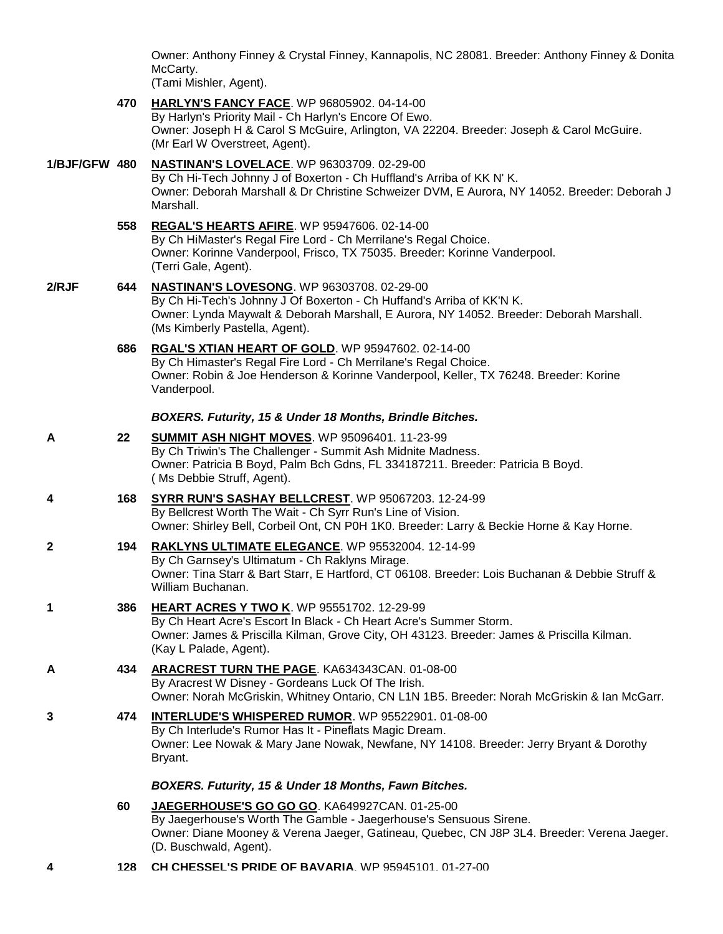Owner: Anthony Finney & Crystal Finney, Kannapolis, NC 28081. Breeder: Anthony Finney & Donita McCarty.

(Tami Mishler, Agent).

- **470 [HARLYN'S FANCY FACE](http://www.infodog.com/my/drlookup2.htm?makc=WP%2096805902&mdog=Harlyn%27s+Fancy+Face&wins=all)**. WP 96805902. 04-14-00 By Harlyn's Priority Mail - Ch Harlyn's Encore Of Ewo. Owner: Joseph H & Carol S McGuire, Arlington, VA 22204. Breeder: Joseph & Carol McGuire. (Mr Earl W Overstreet, Agent). **1/BJF/GFW 480 [NASTINAN'S LOVELACE](http://www.infodog.com/my/drlookup2.htm?makc=WP%2096303709&mdog=Nastinan%27s+Lovelace&wins=all)**. WP 96303709. 02-29-00 By Ch Hi-Tech Johnny J of Boxerton - Ch Huffland's Arriba of KK N' K. Owner: Deborah Marshall & Dr Christine Schweizer DVM, E Aurora, NY 14052. Breeder: Deborah J Marshall. **558 [REGAL'S HEARTS AFIRE](http://www.infodog.com/my/drlookup2.htm?makc=WP%2095947606&mdog=Regal%27s+Hearts+Afire&wins=all)**. WP 95947606. 02-14-00 By Ch HiMaster's Regal Fire Lord - Ch Merrilane's Regal Choice. Owner: Korinne Vanderpool, Frisco, TX 75035. Breeder: Korinne Vanderpool. (Terri Gale, Agent). **2/RJF 644 [NASTINAN'S LOVESONG](http://www.infodog.com/my/drlookup2.htm?makc=WP%2096303708&mdog=Nastinan%27s+Lovesong&wins=all)**. WP 96303708. 02-29-00 By Ch Hi-Tech's Johnny J Of Boxerton - Ch Huffand's Arriba of KK'N K. Owner: Lynda Maywalt & Deborah Marshall, E Aurora, NY 14052. Breeder: Deborah Marshall. (Ms Kimberly Pastella, Agent). **686 [RGAL'S XTIAN HEART OF GOLD](http://www.infodog.com/my/drlookup2.htm?makc=WP%2095947602&mdog=Rgal%27s+Xtian+Heart+Of+Gold&wins=all)**. WP 95947602. 02-14-00 By Ch Himaster's Regal Fire Lord - Ch Merrilane's Regal Choice. Owner: Robin & Joe Henderson & Korinne Vanderpool, Keller, TX 76248. Breeder: Korine Vanderpool. *BOXERS. Futurity, 15 & Under 18 Months, Brindle Bitches.* **A 22 [SUMMIT ASH NIGHT MOVES](http://www.infodog.com/my/drlookup2.htm?makc=WP%2095096401&mdog=Summit+Ash+Night+Moves&wins=all)**. WP 95096401. 11-23-99 By Ch Triwin's The Challenger - Summit Ash Midnite Madness. Owner: Patricia B Boyd, Palm Bch Gdns, FL 334187211. Breeder: Patricia B Boyd. ( Ms Debbie Struff, Agent). **4 168 [SYRR RUN'S SASHAY BELLCREST](http://www.infodog.com/my/drlookup2.htm?makc=WP%2095067203&mdog=Syrr+Run%27s+Sashay+Bellcrest&wins=all)**. WP 95067203. 12-24-99 By Bellcrest Worth The Wait - Ch Syrr Run's Line of Vision. Owner: Shirley Bell, Corbeil Ont, CN P0H 1K0. Breeder: Larry & Beckie Horne & Kay Horne. **2 194 [RAKLYNS ULTIMATE ELEGANCE](http://www.infodog.com/my/drlookup2.htm?makc=WP%2095532004&mdog=Raklyns+Ultimate+Elegance&wins=all)**. WP 95532004. 12-14-99 By Ch Garnsey's Ultimatum - Ch Raklyns Mirage. Owner: Tina Starr & Bart Starr, E Hartford, CT 06108. Breeder: Lois Buchanan & Debbie Struff & William Buchanan. **1 386 [HEART ACRES Y TWO K](http://www.infodog.com/my/drlookup2.htm?makc=WP%2095551702&mdog=Heart+Acres+Y+Two+K&wins=all)**. WP 95551702. 12-29-99 By Ch Heart Acre's Escort In Black - Ch Heart Acre's Summer Storm. Owner: James & Priscilla Kilman, Grove City, OH 43123. Breeder: James & Priscilla Kilman. (Kay L Palade, Agent). **A 434 [ARACREST TURN THE PAGE](http://www.infodog.com/my/drlookup2.htm?makc=KA634343CAN&mdog=Aracrest+Turn+The+Page&wins=all)**. KA634343CAN. 01-08-00 By Aracrest W Disney - Gordeans Luck Of The Irish. Owner: Norah McGriskin, Whitney Ontario, CN L1N 1B5. Breeder: Norah McGriskin & Ian McGarr. **3 474 [INTERLUDE'S WHISPERED RUMOR](http://www.infodog.com/my/drlookup2.htm?makc=WP%2095522901&mdog=Interlude%27s+Whispered+Rumor&wins=all)**. WP 95522901. 01-08-00 By Ch Interlude's Rumor Has It - Pineflats Magic Dream. Owner: Lee Nowak & Mary Jane Nowak, Newfane, NY 14108. Breeder: Jerry Bryant & Dorothy Bryant. *BOXERS. Futurity, 15 & Under 18 Months, Fawn Bitches.* **60 [JAEGERHOUSE'S GO GO GO](http://www.infodog.com/my/drlookup2.htm?makc=KA649927CAN&mdog=Jaegerhouse%27s+Go+Go+Go&wins=all)**. KA649927CAN. 01-25-00 By Jaegerhouse's Worth The Gamble - Jaegerhouse's Sensuous Sirene. Owner: Diane Mooney & Verena Jaeger, Gatineau, Quebec, CN J8P 3L4. Breeder: Verena Jaeger. (D. Buschwald, Agent).
- **4 128 [CH CHESSEL'S PRIDE OF BAVARIA](http://www.infodog.com/my/drlookup2.htm?makc=WP%2095945101&mdog=Ch+Chessel%27s+Pride+Of+Bavaria&wins=all)**. WP 95945101. 01-27-00